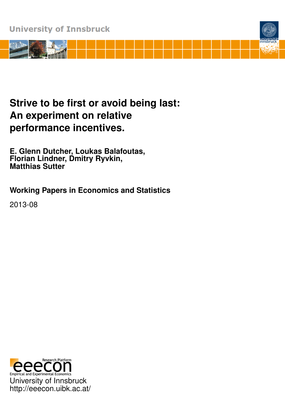

# **Strive to be first or avoid being last: An experiment on relative performance incentives.**

**E. Glenn Dutcher, Loukas Balafoutas, Florian Lindner, Dmitry Ryvkin, Matthias Sutter**

**Working Papers in Economics and Statistics**

2013-08

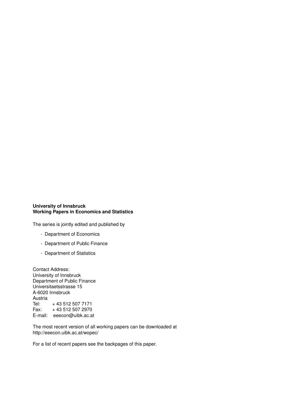#### **University of Innsbruck Working Papers in Economics and Statistics**

The series is jointly edited and published by

- Department of Economics
- Department of Public Finance
- Department of Statistics

Contact Address: University of Innsbruck Department of Public Finance Universitaetsstrasse 15 A-6020 Innsbruck Austria<br>Tel: + 43 512 507 7171<br>+ 43 512 507 2970 Fax: + 43 512 507 2970 E-mail: eeecon@uibk.ac.at

The most recent version of all working papers can be downloaded at http://eeecon.uibk.ac.at/wopec/

For a list of recent papers see the backpages of this paper.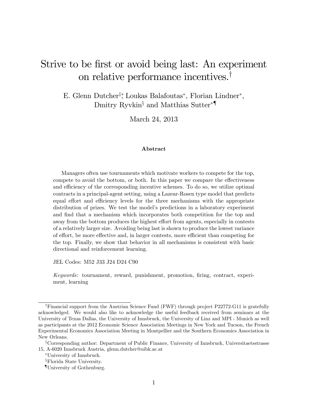# Strive to be first or avoid being last: An experiment on relative performance incentives.<sup>†</sup>

E. Glenn Dutcher<sup>†</sup>, Loukas Balafoutas<sup>\*</sup>, Florian Lindner<sup>\*</sup>, Dmitry Ryvkin<sup>§</sup> and Matthias Sutter<sup>\*</sup>

March 24, 2013

#### Abstract

Managers often use tournaments which motivate workers to compete for the top, compete to avoid the bottom, or both. In this paper we compare the effectiveness and efficiency of the corresponding incentive schemes. To do so, we utilize optimal contracts in a principal-agent setting, using a Lazear-Rosen type model that predicts equal effort and efficiency levels for the three mechanisms with the appropriate distribution of prizes. We test the model's predictions in a laboratory experiment and find that a mechanism which incorporates both competition for the top and away from the bottom produces the highest effort from agents, especially in contests of a relatively larger size. Avoiding being last is shown to produce the lowest variance of effort, be more effective and, in larger contests, more efficient than competing for the top. Finally, we show that behavior in all mechanisms is consistent with basic directional and reinforcement learning.

JEL Codes: M52 J33 J24 D24 C90

Keywords: tournament, reward, punishment, promotion, Öring, contract, experiment, learning

<sup>&</sup>lt;sup>†</sup>Financial support from the Austrian Science Fund (FWF) through project P22772-G11 is gratefully acknowledged. We would also like to acknowledge the useful feedback received from seminars at the University of Texas Dallas, the University of Innsbruck, the University of Linz and MPI - Munich as well as participants at the 2012 Economic Science Association Meetings in New York and Tucson, the French Experimental Economics Association Meeting in Montpellier and the Southern Economics Association in New Orleans.

<sup>&</sup>lt;sup>‡</sup>Corresponding author: Department of Public Finance, University of Innsbruck, Universitaetsstrasse 15, A-6020 Innsbruck Austria, glenn.dutcher@uibk.ac.at

University of Innsbruck.

<sup>x</sup>Florida State University.

<sup>{</sup>University of Gothenburg.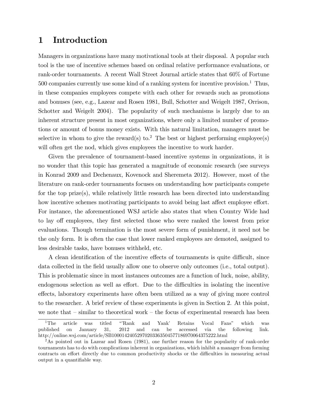# 1 Introduction

Managers in organizations have many motivational tools at their disposal. A popular such tool is the use of incentive schemes based on ordinal relative performance evaluations, or rank-order tournaments. A recent Wall Street Journal article states that 60% of Fortune  $500$  companies currently use some kind of a ranking system for incentive provision.<sup>1</sup> Thus, in these companies employees compete with each other for rewards such as promotions and bonuses (see, e.g., Lazear and Rosen 1981, Bull, Schotter and Weigelt 1987, Orrison, Schotter and Weigelt 2004). The popularity of such mechanisms is largely due to an inherent structure present in most organizations, where only a limited number of promotions or amount of bonus money exists. With this natural limitation, managers must be selective in whom to give the reward(s) to.<sup>2</sup> The best or highest performing employee(s) will often get the nod, which gives employees the incentive to work harder.

Given the prevalence of tournament-based incentive systems in organizations, it is no wonder that this topic has generated a magnitude of economic research (see surveys in Konrad 2009 and Dechenaux, Kovenock and Sheremeta 2012). However, most of the literature on rank-order tournaments focuses on understanding how participants compete for the top prize(s), while relatively little research has been directed into understanding how incentive schemes motivating participants to avoid being last affect employee effort. For instance, the aforementioned WSJ article also states that when Country Wide had to lay off employees, they first selected those who were ranked the lowest from prior evaluations. Though termination is the most severe form of punishment, it need not be the only form. It is often the case that lower ranked employees are demoted, assigned to less desirable tasks, have bonuses withheld, etc.

A clean identification of the incentive effects of tournaments is quite difficult, since data collected in the field usually allow one to observe only outcomes (i.e., total output). This is problematic since in most instances outcomes are a function of luck, noise, ability, endogenous selection as well as effort. Due to the difficulties in isolating the incentive effects, laboratory experiments have often been utilized as a way of giving more control to the researcher. A brief review of these experiments is given in Section 2. At this point, we note that  $\overline{\phantom{a}}$ -similar to theoretical work  $\overline{\phantom{a}}$ -the focus of experimental research has been

<sup>&</sup>lt;sup>1</sup>The article was titled "Rank and Yank' Retains Vocal Fans" which was published on January 31, 2012 and can be accessed via the following link. http://online.wsj.com/article/SB10001424052970203363504577186970064375222.html

<sup>&</sup>lt;sup>2</sup>As pointed out in Lazear and Rosen (1981), one further reason for the popularity of rank-order tournaments has to do with complications inherent in organizations, which inhibit a manager from forming contracts on effort directly due to common productivity shocks or the difficulties in measuring actual output in a quantifiable way.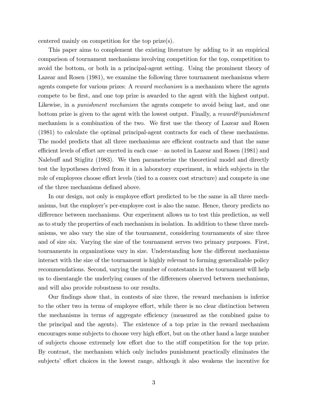centered mainly on competition for the top prize(s).

This paper aims to complement the existing literature by adding to it an empirical comparison of tournament mechanisms involving competition for the top, competition to avoid the bottom, or both in a principal-agent setting. Using the prominent theory of Lazear and Rosen (1981), we examine the following three tournament mechanisms where agents compete for various prizes: A reward mechanism is a mechanism where the agents compete to be Örst, and one top prize is awarded to the agent with the highest output. Likewise, in a *punishment mechanism* the agents compete to avoid being last, and one bottom prize is given to the agent with the lowest output. Finally, a reward  $\mathcal{E}_{p}$  punishment mechanism is a combination of the two. We first use the theory of Lazear and Rosen (1981) to calculate the optimal principal-agent contracts for each of these mechanisms. The model predicts that all three mechanisms are efficient contracts and that the same efficient levels of effort are exerted in each case  $-$  as noted in Lazear and Rosen (1981) and Nalebuff and Stiglitz (1983). We then parameterize the theoretical model and directly test the hypotheses derived from it in a laboratory experiment, in which subjects in the role of employees choose effort levels (tied to a convex cost structure) and compete in one of the three mechanisms defined above.

In our design, not only is employee effort predicted to be the same in all three mechanisms, but the employer's per-employee cost is also the same. Hence, theory predicts no difference between mechanisms. Our experiment allows us to test this prediction, as well as to study the properties of each mechanism in isolation. In addition to these three mechanisms, we also vary the size of the tournament, considering tournaments of size three and of size six. Varying the size of the tournament serves two primary purposes. First, tournaments in organizations vary in size. Understanding how the different mechanisms interact with the size of the tournament is highly relevant to forming generalizable policy recommendations. Second, varying the number of contestants in the tournament will help us to disentangle the underlying causes of the differences observed between mechanisms, and will also provide robustness to our results.

Our Öndings show that, in contests of size three, the reward mechanism is inferior to the other two in terms of employee effort, while there is no clear distinction between the mechanisms in terms of aggregate efficiency (measured as the combined gains to the principal and the agents). The existence of a top prize in the reward mechanism encourages some subjects to choose very high effort, but on the other hand a large number of subjects choose extremely low effort due to the stiff competition for the top prize. By contrast, the mechanism which only includes punishment practically eliminates the subjects' effort choices in the lowest range, although it also weakens the incentive for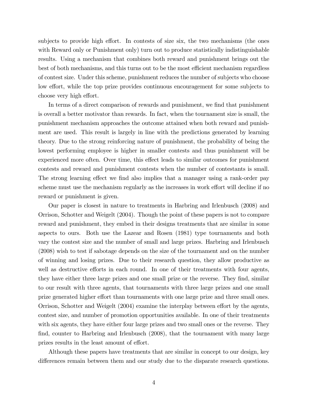subjects to provide high effort. In contests of size six, the two mechanisms (the ones with Reward only or Punishment only) turn out to produce statistically indistinguishable results. Using a mechanism that combines both reward and punishment brings out the best of both mechanisms, and this turns out to be the most efficient mechanism regardless of contest size. Under this scheme, punishment reduces the number of subjects who choose low effort, while the top prize provides continuous encouragement for some subjects to choose very high effort.

In terms of a direct comparison of rewards and punishment, we find that punishment is overall a better motivator than rewards. In fact, when the tournament size is small, the punishment mechanism approaches the outcome attained when both reward and punishment are used. This result is largely in line with the predictions generated by learning theory. Due to the strong reinforcing nature of punishment, the probability of being the lowest performing employee is higher in smaller contests and thus punishment will be experienced more often. Over time, this effect leads to similar outcomes for punishment contests and reward and punishment contests when the number of contestants is small. The strong learning effect we find also implies that a manager using a rank-order pay scheme must use the mechanism regularly as the increases in work effort will decline if no reward or punishment is given.

Our paper is closest in nature to treatments in Harbring and Irlenbusch (2008) and Orrison, Schotter and Weigelt (2004). Though the point of these papers is not to compare reward and punishment, they embed in their designs treatments that are similar in some aspects to ours. Both use the Lazear and Rosen (1981) type tournaments and both vary the contest size and the number of small and large prizes. Harbring and Irlenbusch (2008) wish to test if sabotage depends on the size of the tournament and on the number of winning and losing prizes. Due to their research question, they allow productive as well as destructive efforts in each round. In one of their treatments with four agents, they have either three large prizes and one small prize or the reverse. They find, similar to our result with three agents, that tournaments with three large prizes and one small prize generated higher effort than tournaments with one large prize and three small ones. Orrison, Schotter and Weigelt  $(2004)$  examine the interplay between effort by the agents, contest size, and number of promotion opportunities available. In one of their treatments with six agents, they have either four large prizes and two small ones or the reverse. They find, counter to Harbring and Irlenbusch (2008), that the tournament with many large prizes results in the least amount of effort.

Although these papers have treatments that are similar in concept to our design, key differences remain between them and our study due to the disparate research questions.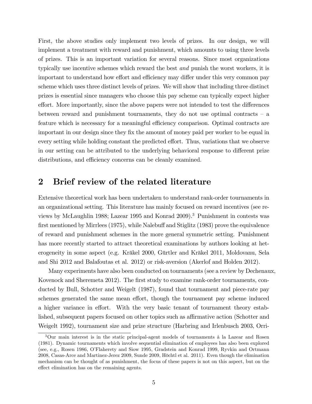First, the above studies only implement two levels of prizes. In our design, we will implement a treatment with reward and punishment, which amounts to using three levels of prizes. This is an important variation for several reasons. Since most organizations typically use incentive schemes which reward the best and punish the worst workers, it is important to understand how effort and efficiency may differ under this very common pay scheme which uses three distinct levels of prizes. We will show that including three distinct prizes is essential since managers who choose this pay scheme can typically expect higher effort. More importantly, since the above papers were not intended to test the differences between reward and punishment tournaments, they do not use optimal contracts  $-$  a feature which is necessary for a meaningful efficiency comparison. Optimal contracts are important in our design since they Öx the amount of money paid per worker to be equal in every setting while holding constant the predicted effort. Thus, variations that we observe in our setting can be attributed to the underlying behavioral response to different prize distributions, and efficiency concerns can be cleanly examined.

# 2 Brief review of the related literature

Extensive theoretical work has been undertaken to understand rank-order tournaments in an organizational setting. This literature has mainly focused on reward incentives (see reviews by McLaughlin 1988; Lazear 1995 and Konrad 2009).<sup>3</sup> Punishment in contests was first mentioned by Mirrlees  $(1975)$ , while Nalebuff and Stiglitz  $(1983)$  prove the equivalence of reward and punishment schemes in the more general symmetric setting. Punishment has more recently started to attract theoretical examinations by authors looking at heterogeneity in some aspect (e.g. Kräkel 2000, Gürtler and Kräkel 2011, Moldovanu, Sela and Shi 2012 and Balafoutas et al. 2012) or risk-aversion (Akerlof and Holden 2012).

Many experiments have also been conducted on tournaments (see a review by Dechenaux, Kovenock and Sheremeta 2012). The first study to examine rank-order tournaments, conducted by Bull, Schotter and Weigelt (1987), found that tournament and piece-rate pay schemes generated the same mean effort, though the tournament pay scheme induced a higher variance in effort. With the very basic tenant of tournament theory established, subsequent papers focused on other topics such as affirmative action (Schotter and Weigelt 1992), tournament size and prize structure (Harbring and Irlenbusch 2003, Orri-

 $3$ Our main interest is in the static principal-agent models of tournaments à la Lazear and Rosen (1981). Dynamic tournaments which involve sequential elimination of employees has also been explored (see, e.g., Rosen 1986, OíFlaherety and Siow 1995, Gradstein and Konrad 1999, Ryvkin and Ortmann 2008, Casas-Arce and Martinez-Jerez 2009, Sunde 2009, Höchtl et al. 2011). Even though the elimination mechanism can be thought of as punishment, the focus of these papers is not on this aspect, but on the effect elimination has on the remaining agents.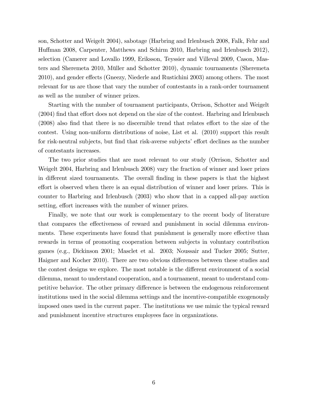son, Schotter and Weigelt 2004), sabotage (Harbring and Irlenbusch 2008, Falk, Fehr and Huffman 2008, Carpenter, Matthews and Schirm 2010, Harbring and Irlenbusch 2012), selection (Camerer and Lovallo 1999, Eriksson, Teyssier and Villeval 2009, Cason, Masters and Sheremeta 2010, Müller and Schotter 2010), dynamic tournaments (Sheremeta 2010), and gender effects (Gneezy, Niederle and Rustichini 2003) among others. The most relevant for us are those that vary the number of contestants in a rank-order tournament as well as the number of winner prizes.

Starting with the number of tournament participants, Orrison, Schotter and Weigelt  $(2004)$  find that effort does not depend on the size of the contest. Harbring and Irlenbusch  $(2008)$  also find that there is no discernible trend that relates effort to the size of the contest. Using non-uniform distributions of noise, List et al. (2010) support this result for risk-neutral subjects, but find that risk-averse subjects' effort declines as the number of contestants increases.

The two prior studies that are most relevant to our study (Orrison, Schotter and Weigelt 2004, Harbring and Irlenbusch 2008) vary the fraction of winner and loser prizes in different sized tournaments. The overall finding in these papers is that the highest effort is observed when there is an equal distribution of winner and loser prizes. This is counter to Harbring and Irlenbusch (2003) who show that in a capped all-pay auction setting, effort increases with the number of winner prizes.

Finally, we note that our work is complementary to the recent body of literature that compares the effectiveness of reward and punishment in social dilemma environments. These experiments have found that punishment is generally more effective than rewards in terms of promoting cooperation between subjects in voluntary contribution games (e.g., Dickinson 2001; Masclet et al. 2003; Noussair and Tucker 2005; Sutter, Haigner and Kocher 2010). There are two obvious differences between these studies and the contest designs we explore. The most notable is the different environment of a social dilemma, meant to understand cooperation, and a tournament, meant to understand competitive behavior. The other primary difference is between the endogenous reinforcement institutions used in the social dilemma settings and the incentive-compatible exogenously imposed ones used in the current paper. The institutions we use mimic the typical reward and punishment incentive structures employees face in organizations.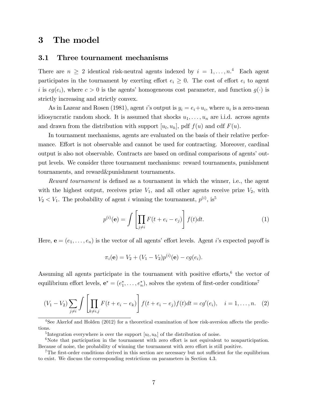# 3 The model

## 3.1 Three tournament mechanisms

There are  $n \geq 2$  identical risk-neutral agents indexed by  $i = 1, ..., n$ <sup>4</sup> Each agent participates in the tournament by exerting effort  $e_i \geq 0$ . The cost of effort  $e_i$  to agent i is  $cg(e_i)$ , where  $c > 0$  is the agents' homogeneous cost parameter, and function  $g(\cdot)$  is strictly increasing and strictly convex.

As in Lazear and Rosen (1981), agent *i*'s output is  $y_i = e_i + u_i$ , where  $u_i$  is a zero-mean idiosyncratic random shock. It is assumed that shocks  $u_1, \ldots, u_n$  are i.i.d. across agents and drawn from the distribution with support  $[u_l, u_h]$ , pdf  $f(u)$  and cdf  $F(u)$ .

In tournament mechanisms, agents are evaluated on the basis of their relative performance. Effort is not observable and cannot be used for contracting. Moreover, cardinal output is also not observable. Contracts are based on ordinal comparisons of agents' output levels. We consider three tournament mechanisms: reward tournaments, punishment tournaments, and reward&punishment tournaments.

Reward tournament is defined as a tournament in which the winner, i.e., the agent with the highest output, receives prize  $V_1$ , and all other agents receive prize  $V_2$ , with  $V_2 < V_1$ . The probability of agent *i* winning the tournament,  $p^{(i)}$ , is<sup>5</sup>

$$
p^{(i)}(\mathbf{e}) = \int \left[ \prod_{j \neq i} F(t + e_i - e_j) \right] f(t) dt.
$$
 (1)

Here,  $\mathbf{e} = (e_1, \ldots, e_n)$  is the vector of all agents' effort levels. Agent *i*'s expected payoff is

$$
\pi_i(\mathbf{e}) = V_2 + (V_1 - V_2)p^{(i)}(\mathbf{e}) - cg(e_i).
$$

Assuming all agents participate in the tournament with positive efforts, $6$  the vector of equilibrium effort levels,  $e^* = (e_1^*, \ldots, e_n^*)$ , solves the system of first-order conditions<sup>7</sup>

$$
(V_1 - V_2) \sum_{j \neq i} \int \left[ \prod_{k \neq i,j} F(t + e_i - e_k) \right] f(t + e_i - e_j) f(t) dt = cg'(e_i), \quad i = 1, ..., n. \quad (2)
$$

 $4$ See Akerlof and Holden (2012) for a theoretical examination of how risk-aversion affects the predictions.

<sup>&</sup>lt;sup>5</sup>Integration everywhere is over the support  $[u_l, u_h]$  of the distribution of noise.

 $6$ Note that participation in the tournament with zero effort is not equivalent to nonparticipation. Because of noise, the probability of winning the tournament with zero effort is still positive.

<sup>&</sup>lt;sup>7</sup>The first-order conditions derived in this section are necessary but not sufficient for the equilibrium to exist. We discuss the corresponding restrictions on parameters in Section 4.3.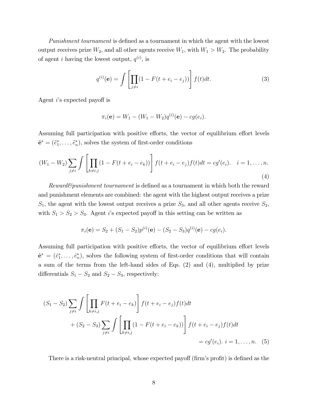Punishment tournament is defined as a tournament in which the agent with the lowest output receives prize  $W_2$ , and all other agents receive  $W_1$ , with  $W_1 > W_2$ . The probability of agent *i* having the lowest output,  $q^{(i)}$ , is

$$
q^{(i)}(\mathbf{e}) = \int \left[ \prod_{j \neq i} (1 - F(t + e_i - e_j)) \right] f(t) dt.
$$
 (3)

Agent  $i$ 's expected payoff is

$$
\pi_i(\mathbf{e}) = W_1 - (W_1 - W_2)q^{(i)}(\mathbf{e}) - cg(e_i).
$$

Assuming full participation with positive efforts, the vector of equilibrium effort levels  $\tilde{\mathbf{e}}^* = (\tilde{e}_1^*, \ldots, \tilde{e}_n^*)$ , solves the system of first-order conditions

$$
(W_1 - W_2) \sum_{j \neq i} \int \left[ \prod_{k \neq i,j} (1 - F(t + e_i - e_k)) \right] f(t + e_i - e_j) f(t) dt = cg'(e_i). \quad i = 1, ..., n.
$$
\n(4)

Reward&punishment tournament is defined as a tournament in which both the reward and punishment elements are combined: the agent with the highest output receives a prize  $S_1$ , the agent with the lowest output receives a prize  $S_3$ , and all other agents receive  $S_2$ , with  $S_1 > S_2 > S_3$ . Agent is expected payoff in this setting can be written as

$$
\pi_i(\mathbf{e}) = S_2 + (S_1 - S_2)p^{(i)}(\mathbf{e}) - (S_2 - S_3)q^{(i)}(\mathbf{e}) - cg(e_i).
$$

Assuming full participation with positive efforts, the vector of equilibrium effort levels  $\hat{\mathbf{e}}^* = (\hat{e}_1^*, \dots, \hat{e}_n^*)$ , solves the following system of first-order conditions that will contain a sum of the terms from the left-hand sides of Eqs. (2) and (4), multiplied by prize differentials  $S_1 - S_2$  and  $S_2 - S_3$ , respectively:

$$
(S_1 - S_2) \sum_{j \neq i} \int \left[ \prod_{k \neq i,j} F(t + e_i - e_k) \right] f(t + e_i - e_j) f(t) dt
$$
  
+ 
$$
(S_2 - S_3) \sum_{j \neq i} \int \left[ \prod_{k \neq i,j} (1 - F(t + e_i - e_k)) \right] f(t + e_i - e_j) f(t) dt
$$
  
= 
$$
cg'(e_i). \quad i = 1, ..., n. \quad (5)
$$

There is a risk-neutral principal, whose expected payoff (firm's profit) is defined as the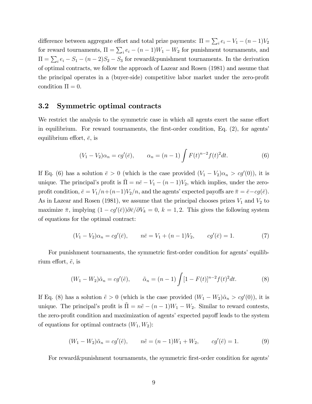difference between aggregate effort and total prize payments:  $\Pi = \sum_i e_i - V_1 - (n-1)V_2$ for reward tournaments,  $\Pi = \sum_i e_i - (n-1)W_1 - W_2$  for punishment tournaments, and  $\Pi = \sum_i e_i - S_1 - (n-2)S_2 - S_3$  for reward&punishment tournaments. In the derivation of optimal contracts, we follow the approach of Lazear and Rosen (1981) and assume that the principal operates in a (buyer-side) competitive labor market under the zero-profit condition  $\Pi = 0$ .

### 3.2 Symmetric optimal contracts

We restrict the analysis to the symmetric case in which all agents exert the same effort in equilibrium. For reward tournaments, the first-order condition, Eq.  $(2)$ , for agents' equilibrium effort,  $\bar{e}$ , is

$$
(V_1 - V_2)\alpha_n = cg'(\bar{e}), \qquad \alpha_n = (n-1)\int F(t)^{n-2}f(t)^2dt.
$$
 (6)

If Eq. (6) has a solution  $\bar{e} > 0$  (which is the case provided  $(V_1 - V_2)\alpha_n > cg'(0)$ ), it is unique. The principal's profit is  $\overline{\Pi} = n\overline{e} - V_1 - (n-1)V_2$ , which implies, under the zeroprofit condition,  $\bar{e} = V_1/n + (n-1)V_2/n$ , and the agents' expected payoffs are  $\bar{\pi} = \bar{e} - cg(\bar{e})$ . As in Lazear and Rosen (1981), we assume that the principal chooses prizes  $V_1$  and  $V_2$  to maximize  $\bar{\pi}$ , implying  $(1 - cg'(\bar{e}))\partial \bar{e}/\partial V_k = 0$ ,  $k = 1, 2$ . This gives the following system of equations for the optimal contract:

$$
(V_1 - V_2)\alpha_n = cg'(\bar{e}), \qquad n\bar{e} = V_1 + (n-1)V_2, \qquad cg'(\bar{e}) = 1.
$$
 (7)

For punishment tournaments, the symmetric first-order condition for agents' equilibrium effort,  $\tilde{e}$ , is

$$
(W_1 - W_2)\tilde{\alpha}_n = cg'(\tilde{e}), \qquad \tilde{\alpha}_n = (n-1)\int [1 - F(t)]^{n-2} f(t)^2 dt.
$$
 (8)

If Eq. (8) has a solution  $\tilde{e} > 0$  (which is the case provided  $(W_1 - W_2)\tilde{\alpha}_n > cg'(0)$ ), it is unique. The principal's profit is  $\tilde{\Pi} = n\tilde{e} - (n-1)W_1 - W_2$ . Similar to reward contests, the zero-profit condition and maximization of agents' expected payoff leads to the system of equations for optimal contracts  $(W_1, W_2)$ :

$$
(W_1 - W_2)\tilde{\alpha}_n = cg'(\tilde{e}), \qquad n\tilde{e} = (n-1)W_1 + W_2, \qquad cg'(\tilde{e}) = 1.
$$
 (9)

For reward & punishment tournaments, the symmetric first-order condition for agents'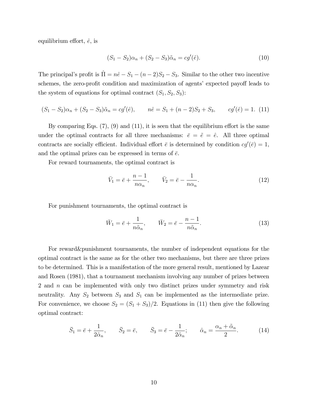equilibrium effort,  $\hat{e}$ , is

$$
(S_1 - S_2)\alpha_n + (S_2 - S_3)\tilde{\alpha}_n = cg'(\hat{e}).
$$
\n(10)

The principal's profit is  $\hat{\Pi} = n\hat{e} - S_1 - (n - 2)S_2 - S_3$ . Similar to the other two incentive schemes, the zero-profit condition and maximization of agents' expected payoff leads to the system of equations for optimal contract  $(S_1, S_2, S_3)$ :

$$
(S_1 - S_2)\alpha_n + (S_2 - S_3)\tilde{\alpha}_n = cg'(\hat{e}), \qquad n\hat{e} = S_1 + (n-2)S_2 + S_3, \qquad cg'(\hat{e}) = 1.
$$
 (11)

By comparing Eqs.  $(7)$ ,  $(9)$  and  $(11)$ , it is seen that the equilibrium effort is the same under the optimal contracts for all three mechanisms:  $\bar{e} = \tilde{e} = \hat{e}$ . All three optimal contracts are socially efficient. Individual effort  $\bar{e}$  is determined by condition  $cg'(\bar{e})=1$ , and the optimal prizes can be expressed in terms of  $\bar{e}$ .

For reward tournaments, the optimal contract is

$$
\bar{V}_1 = \bar{e} + \frac{n-1}{n\alpha_n}, \qquad \bar{V}_2 = \bar{e} - \frac{1}{n\alpha_n}.
$$
\n(12)

For punishment tournaments, the optimal contract is

$$
\bar{W}_1 = \bar{e} + \frac{1}{n\tilde{\alpha}_n}, \qquad \bar{W}_2 = \bar{e} - \frac{n-1}{n\tilde{\alpha}_n}.
$$
\n(13)

For reward&punishment tournaments, the number of independent equations for the optimal contract is the same as for the other two mechanisms, but there are three prizes to be determined. This is a manifestation of the more general result, mentioned by Lazear and Rosen (1981), that a tournament mechanism involving any number of prizes between 2 and n can be implemented with only two distinct prizes under symmetry and risk neutrality. Any  $S_2$  between  $S_3$  and  $S_1$  can be implemented as the intermediate prize. For convenience, we choose  $S_2 = (S_1 + S_3)/2$ . Equations in (11) then give the following optimal contract:

$$
\bar{S}_1 = \bar{e} + \frac{1}{2\hat{\alpha}_n}, \qquad \bar{S}_2 = \bar{e}, \qquad \bar{S}_3 = \bar{e} - \frac{1}{2\hat{\alpha}_n}; \qquad \hat{\alpha}_n = \frac{\alpha_n + \tilde{\alpha}_n}{2}.
$$
 (14)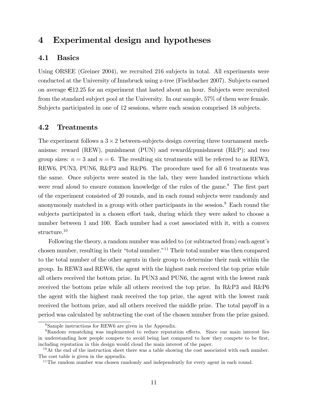# 4 Experimental design and hypotheses

### 4.1 Basics

Using ORSEE (Greiner 2004), we recruited 216 subjects in total. All experiments were conducted at the University of Innsbruck using z-tree (Fischbacher 2007). Subjects earned on average  $\epsilon$ 12.25 for an experiment that lasted about an hour. Subjects were recruited from the standard subject pool at the University. In our sample, 57% of them were female. Subjects participated in one of 12 sessions, where each session comprised 18 subjects.

## 4.2 Treatments

The experiment follows a  $3 \times 2$  between-subjects design covering three tournament mechanisms: reward (REW), punishment (PUN) and reward&punishment (R&P); and two group sizes:  $n = 3$  and  $n = 6$ . The resulting six treatments will be referred to as REW3, REW6, PUN3, PUN6, R&P3 and R&P6. The procedure used for all 6 treatments was the same. Once subjects were seated in the lab, they were handed instructions which were read aloud to ensure common knowledge of the rules of the game.<sup>8</sup> The first part of the experiment consisted of 20 rounds, and in each round subjects were randomly and anonymously matched in a group with other participants in the session.<sup>9</sup> Each round the subjects participated in a chosen effort task, during which they were asked to choose a number between 1 and 100. Each number had a cost associated with it, with a convex structure.<sup>10</sup>

Following the theory, a random number was added to (or subtracted from) each agent's chosen number, resulting in their "total number."<sup>11</sup> Their total number was then compared to the total number of the other agents in their group to determine their rank within the group. In REW3 and REW6, the agent with the highest rank received the top prize while all others received the bottom prize. In PUN3 and PUN6, the agent with the lowest rank received the bottom prize while all others received the top prize. In R&P3 and R&P6 the agent with the highest rank received the top prize, the agent with the lowest rank received the bottom prize, and all others received the middle prize. The total payoff in a period was calculated by subtracting the cost of the chosen number from the prize gained.

<sup>8</sup>Sample instructions for REW6 are given in the Appendix.

 $9R$ andom rematching was implemented to reduce reputation effects. Since our main interest lies in understanding how people compete to avoid being last compared to how they compete to be first, including reputation in this design would cloud the main interest of the paper.

 $10$ At the end of the instruction sheet there was a table showing the cost associated with each number. The cost table is given in the appendix.

 $11$ The random number was chosen randomly and independently for every agent in each round.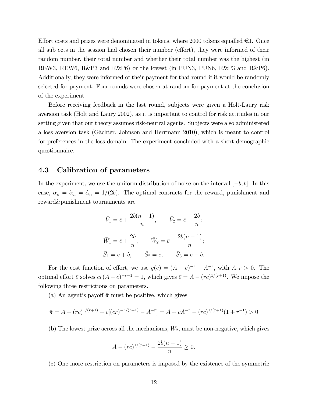Effort costs and prizes were denominated in tokens, where 2000 tokens equalled  $\in 1$ . Once all subjects in the session had chosen their number (effort), they were informed of their random number, their total number and whether their total number was the highest (in REW3, REW6, R&P3 and R&P6) or the lowest (in PUN3, PUN6, R&P3 and R&P6). Additionally, they were informed of their payment for that round if it would be randomly selected for payment. Four rounds were chosen at random for payment at the conclusion of the experiment.

Before receiving feedback in the last round, subjects were given a Holt-Laury risk aversion task (Holt and Laury 2002), as it is important to control for risk attitudes in our setting given that our theory assumes risk-neutral agents. Subjects were also administered a loss aversion task (G‰chter, Johnson and Herrmann 2010), which is meant to control for preferences in the loss domain. The experiment concluded with a short demographic questionnaire.

#### 4.3 Calibration of parameters

In the experiment, we use the uniform distribution of noise on the interval  $[-b, b]$ . In this case,  $\alpha_n = \tilde{\alpha}_n = \hat{\alpha}_n = 1/(2b)$ . The optimal contracts for the reward, punishment and reward&punishment tournaments are

$$
\bar{V}_1 = \bar{e} + \frac{2b(n-1)}{n}, \qquad \bar{V}_2 = \bar{e} - \frac{2b}{n};
$$
  

$$
\bar{W}_1 = \bar{e} + \frac{2b}{n}, \qquad \bar{W}_2 = \bar{e} - \frac{2b(n-1)}{n};
$$
  

$$
\bar{S}_1 = \bar{e} + b, \qquad \bar{S}_2 = \bar{e}, \qquad \bar{S}_3 = \bar{e} - b.
$$

For the cost function of effort, we use  $g(e) = (A - e)^{-r} - A^{-r}$ , with  $A, r > 0$ . The optimal effort  $\bar{e}$  solves  $cr(A-e)^{-r-1} = 1$ , which gives  $\bar{e} = A - (rc)^{1/(r+1)}$ . We impose the following three restrictions on parameters.

(a) An agent's payoff  $\bar{\pi}$  must be positive, which gives

$$
\bar{\pi} = A - (rc)^{1/(r+1)} - c[(cr)^{-r/(r+1)} - A^{-r}] = A + cA^{-r} - (rc)^{1/(r+1)}(1 + r^{-1}) > 0
$$

(b) The lowest prize across all the mechanisms,  $W_2$ , must be non-negative, which gives

$$
A - (rc)^{1/(r+1)} - \frac{2b(n-1)}{n} \ge 0.
$$

(c) One more restriction on parameters is imposed by the existence of the symmetric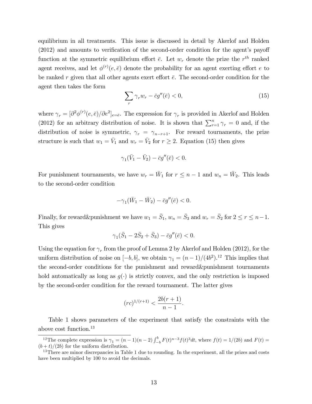equilibrium in all treatments. This issue is discussed in detail by Akerlof and Holden  $(2012)$  and amounts to verification of the second-order condition for the agent's payoff function at the symmetric equilibrium effort  $\bar{e}$ . Let  $w_r$  denote the prize the  $r^{th}$  ranked agent receives, and let  $\phi^{(r)}(e,\bar{e})$  denote the probability for an agent exerting effort e to be ranked r given that all other agents exert effort  $\bar{e}$ . The second-order condition for the agent then takes the form

$$
\sum_{r} \gamma_r w_r - \bar{c}g''(\bar{e}) < 0,\tag{15}
$$

where  $\gamma_r = [\partial^2 \phi^{(r)}(e,\bar{e})/\partial e^2]_{e=\bar{e}}$ . The expression for  $\gamma_r$  is provided in Akerlof and Holden (2012) for an arbitrary distribution of noise. It is shown that  $\sum_{r=1}^{n} \gamma_r = 0$  and, if the distribution of noise is symmetric,  $\gamma_r = \gamma_{n-r+1}$ . For reward tournaments, the prize structure is such that  $w_1 = \bar{V}_1$  and  $w_r = \bar{V}_2$  for  $r \geq 2$ . Equation (15) then gives

$$
\gamma_1(\bar{V}_1-\bar{V}_2)-\bar{c}g''(\bar{e})<0.
$$

For punishment tournaments, we have  $w_r = \bar{W}_1$  for  $r \leq n-1$  and  $w_n = \bar{W}_2$ . This leads to the second-order condition

$$
-\gamma_1(\bar{W}_1 - \bar{W}_2) - \bar{c}g''(\bar{e}) < 0.
$$

Finally, for reward&punishment we have  $w_1 = \bar{S}_1$ ,  $w_n = \bar{S}_3$  and  $w_r = \bar{S}_2$  for  $2 \le r \le n-1$ . This gives

$$
\gamma_1(\bar{S}_1 - 2\bar{S}_2 + \bar{S}_3) - \bar{c}g''(\bar{e}) < 0.
$$

Using the equation for  $\gamma_r$  from the proof of Lemma 2 by Akerlof and Holden (2012), for the uniform distribution of noise on  $[-b, b]$ , we obtain  $\gamma_1 = (n-1)/(4b^2)$ .<sup>12</sup> This implies that the second-order conditions for the punishment and reward&punishment tournaments hold automatically as long as  $g(\cdot)$  is strictly convex, and the only restriction is imposed by the second-order condition for the reward tournament. The latter gives

$$
(rc)^{1/(r+1)} < \frac{2b(r+1)}{n-1}.
$$

Table 1 shows parameters of the experiment that satisfy the constraints with the above cost function.<sup>13</sup>

<sup>&</sup>lt;sup>12</sup>The complete expression is  $\gamma_1 = (n-1)(n-2) \int_{-b}^{b} F(t)^{n-3} f(t)^3 dt$ , where  $f(t) = 1/(2b)$  and  $F(t) =$  $(b + t)/(2b)$  for the uniform distribution.

<sup>&</sup>lt;sup>13</sup>There are minor discrepancies in Table 1 due to rounding. In the experiment, all the prizes and costs have been multiplied by 100 to avoid the decimals.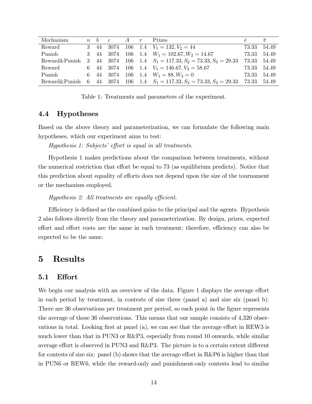| Mechanism     | $n \quad b \quad c$ | $A \t r$ | <b>Prizes</b>                                                                    | $\rho$      | $\bar{\pi}$ |
|---------------|---------------------|----------|----------------------------------------------------------------------------------|-------------|-------------|
| Reward        |                     |          | 3 44 3074 106 1.4 $V_1 = 132, V_2 = 44$                                          |             | 73.33 54.49 |
| Punish        |                     |          | 3 44 3074 106 1.4 $W_1 = 102.67, W_2 = 14.67$                                    | 73.33       | 54.49       |
| Reward&Punish |                     |          | 3 44 3074 106 1.4 $S_1 = 117.33, S_2 = 73.33, S_3 = 29.33$                       | 73.33       | 54.49       |
| Reward        |                     |          | 6 44 3074 106 1.4 $V_1 = 146.67, V_2 = 58.67$                                    | 73.33       | 54.49       |
| Punish        |                     |          | 6 44 3074 106 1.4 $W_1 = 88, W_2 = 0$                                            | 73.33       | 54.49       |
|               |                     |          | Reward & Punish 6 44 3074 106 1.4 $S_1 = 117.33$ , $S_2 = 73.33$ , $S_3 = 29.33$ | 73.33 54.49 |             |

Table 1: Treatments and parameters of the experiment.

#### 4.4 Hypotheses

Based on the above theory and parameterization, we can formulate the following main hypotheses, which our experiment aims to test:

 $Hypothesis$  1: Subjects' effort is equal in all treatments.

Hypothesis 1 makes predictions about the comparison between treatments, without the numerical restriction that effort be equal to  $73$  (as equilibrium predicts). Notice that this prediction about equality of efforts does not depend upon the size of the tournament or the mechanism employed.

#### Hypothesis 2: All treatments are equally efficient.

Efficiency is defined as the combined gains to the principal and the agents. Hypothesis 2 also follows directly from the theory and parameterization. By design, prizes, expected effort and effort costs are the same in each treatment; therefore, efficiency can also be expected to be the same.

## 5 Results

### 5.1 Effort

We begin our analysis with an overview of the data. Figure 1 displays the average effort in each period by treatment, in contests of size three (panel a) and size six (panel b). There are 36 observations per treatment per period, so each point in the figure represents the average of these 36 observations. This means that our sample consists of 4,320 observations in total. Looking first at panel (a), we can see that the average effort in REW3 is much lower than that in PUN3 or R&P3, especially from round 10 onwards, while similar average effort is observed in PUN3 and  $R\&P3$ . The picture is to a certain extent different for contests of size six: panel (b) shows that the average effort in  $R\&P6$  is higher than that in PUN6 or REW6, while the reward-only and punishment-only contests lead to similar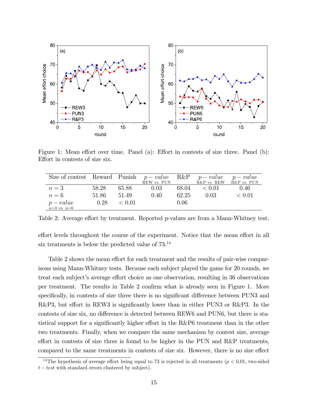

Figure 1: Mean effort over time. Panel (a): Effort in contests of size three. Panel (b): Effort in contests of size six.

| Size of contest Reward Punish $p-value$ R&P $p-value$ $p-value$ |       |        |             |       |                         |            |
|-----------------------------------------------------------------|-------|--------|-------------|-------|-------------------------|------------|
|                                                                 |       |        | REW vs. PUN |       | R&P vs. REW R&P vs. PUN |            |
| $n=3$                                                           | 58.28 | 65.88  | 0.03        | 68.04 | < 0.01                  | 0.46       |
| $n=6$                                                           | 51.86 | 51.49  | 0.40        | 62.25 | 0.03                    | ${}< 0.01$ |
| $p-value$                                                       | 0.28  | < 0.01 |             | 0.06  |                         |            |
| $n=3$ vs. $n=6$                                                 |       |        |             |       |                         |            |

Table 2: Average effort by treatment. Reported p-values are from a Mann-Whitney test.

effort levels throughout the course of the experiment. Notice that the mean effort in all six treatments is below the predicted value of 73.<sup>14</sup>

Table 2 shows the mean effort for each treatment and the results of pair-wise comparisons using Mann-Whitney tests. Because each subject played the game for 20 rounds, we treat each subject's average effort choice as one observation, resulting in 36 observations per treatment. The results in Table 2 confirm what is already seen in Figure 1. More specifically, in contests of size three there is no significant difference between PUN3 and R&P3, but effort in REW3 is significantly lower than in either PUN3 or R&P3. In the contests of size six, no difference is detected between REW6 and PUN6, but there is statistical support for a significantly higher effort in the R&P6 treatment than in the other two treatments. Finally, when we compare the same mechanism by contest size, average effort in contests of size three is found to be higher in the PUN and  $R\&P$  treatments, compared to the same treatments in contests of size six. However, there is no size effect

<sup>&</sup>lt;sup>14</sup>The hypothesis of average effort being equal to 73 is rejected in all treatments ( $p < 0.01$ , two-sided  $t - test$  with standard errors clustered by subject).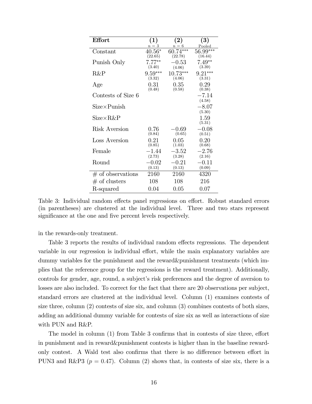| <b>Effort</b>       | $\bf (1)$ | $\bf(2)$   | $\boldsymbol{(3)}$ |
|---------------------|-----------|------------|--------------------|
|                     | $n = 3$   | $n = 6$    | Pooled             |
| Constant            | $40.56*$  | 60.74***   | 56.99***           |
|                     | (22.65)   | (22.78)    | (16.44)            |
| Punish Only         | $7.77***$ | $-0.53$    | $7.49**$           |
|                     | (3.40)    | (4.06)     | (3.39)             |
| R&P                 | $9.59***$ | $10.73***$ | $9.21***$          |
|                     | (3.32)    | (4.06)     | (3.31)             |
| Age                 | 0.31      | 0.35       | 0.29               |
|                     | (0.48)    | (0.58)     | (0.38)             |
| Contests of Size 6  |           |            | $-7.14$            |
|                     |           |            | (4.58)             |
| $Size\times Punish$ |           |            | $-8.07$            |
|                     |           |            | (5.30)             |
| $Size \times R\&P$  |           |            | 1.59               |
|                     |           |            | (5.31)             |
| Risk Aversion       | 0.76      | $-0.69\,$  | $-0.08$            |
|                     | (0.84)    | (0.65)     | (0.51)             |
| Loss Aversion       | 0.21      | 0.05       | 0.20               |
|                     | (0.85)    | (1.03)     | (0.68)             |
| Female              | $-1.44$   | $-3.52$    | $-2.76$            |
|                     | (2.73)    | (3.28)     | (2.16)             |
| Round               | $-0.02$   | $-0.21$    | $-0.11$            |
|                     | (0.13)    | (0.13)     | (0.09)             |
| $#$ of observations | 2160      | 2160       | 4320               |
| $#$ of clusters     | 108       | 108        | 216                |
| R-squared           | 0.04      | 0.05       | 0.07               |

Table 3: Individual random effects panel regressions on effort. Robust standard errors (in parentheses) are clustered at the individual level. Three and two stars represent significance at the one and five percent levels respectively.

in the rewards-only treatment.

Table 3 reports the results of individual random effects regressions. The dependent variable in our regression is individual effort, while the main explanatory variables are dummy variables for the punishment and the reward&punishment treatments (which implies that the reference group for the regressions is the reward treatment). Additionally, controls for gender, age, round, a subject's risk preferences and the degree of aversion to losses are also included. To correct for the fact that there are 20 observations per subject, standard errors are clustered at the individual level. Column (1) examines contests of size three, column (2) contests of size six, and column (3) combines contests of both sizes, adding an additional dummy variable for contests of size six as well as interactions of size with PUN and R&P.

The model in column (1) from Table 3 confirms that in contests of size three, effort in punishment and in reward&punishment contests is higher than in the baseline rewardonly contest. A Wald test also confirms that there is no difference between effort in PUN3 and R&P3 ( $p = 0.47$ ). Column (2) shows that, in contests of size six, there is a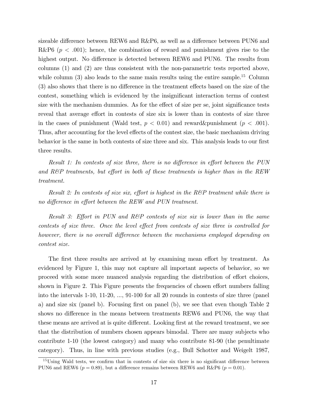sizeable difference between REW6 and  $R\&P6$ , as well as a difference between PUN6 and R&P6 ( $p < .001$ ); hence, the combination of reward and punishment gives rise to the highest output. No difference is detected between REW6 and PUN6. The results from columns (1) and (2) are thus consistent with the non-parametric tests reported above, while column  $(3)$  also leads to the same main results using the entire sample.<sup>15</sup> Column  $(3)$  also shows that there is no difference in the treatment effects based on the size of the contest, something which is evidenced by the insignificant interaction terms of contest size with the mechanism dummies. As for the effect of size per se, joint significance tests reveal that average effort in contests of size six is lower than in contests of size three in the cases of punishment (Wald test,  $p < 0.01$ ) and reward&punishment ( $p < .001$ ). Thus, after accounting for the level effects of the contest size, the basic mechanism driving behavior is the same in both contests of size three and six. This analysis leads to our first three results.

Result 1: In contests of size three, there is no difference in effort between the PUN and  $R\&P$  treatments, but effort in both of these treatments is higher than in the REW treatment.

Result 2: In contests of size six, effort is highest in the R&P treatment while there is no difference in effort between the REW and PUN treatment.

Result 3: Effort in PUN and R&P contests of size six is lower than in the same contests of size three. Once the level effect from contests of size three is controlled for however, there is no overall difference between the mechanisms employed depending on contest size.

The first three results are arrived at by examining mean effort by treatment. As evidenced by Figure 1, this may not capture all important aspects of behavior, so we proceed with some more nuanced analysis regarding the distribution of effort choices, shown in Figure 2. This Figure presents the frequencies of chosen effort numbers falling into the intervals 1-10, 11-20, ..., 91-100 for all 20 rounds in contests of size three (panel a) and size six (panel b). Focusing first on panel (b), we see that even though Table  $2$ shows no difference in the means between treatments REW6 and PUN6, the way that these means are arrived at is quite different. Looking first at the reward treatment, we see that the distribution of numbers chosen appears bimodal. There are many subjects who contribute 1-10 (the lowest category) and many who contribute 81-90 (the penultimate category). Thus, in line with previous studies (e.g., Bull Schotter and Weigelt 1987,

 $15$ Using Wald tests, we confirm that in contests of size six there is no significant difference between PUN6 and REW6 ( $p = 0.89$ ), but a difference remains between REW6 and R&P6 ( $p = 0.01$ ).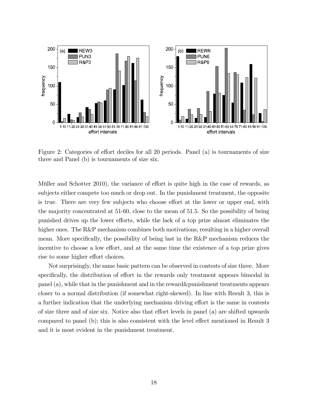

Figure 2: Categories of effort deciles for all 20 periods. Panel (a) is tournaments of size three and Panel (b) is tournaments of size six.

Müller and Schotter 2010), the variance of effort is quite high in the case of rewards, as subjects either compete too much or drop out. In the punishment treatment, the opposite is true. There are very few subjects who choose effort at the lower or upper end, with the majority concentrated at 51-60, close to the mean of 51.5. So the possibility of being punished drives up the lower efforts, while the lack of a top prize almost eliminates the higher ones. The R&P mechanism combines both motivations, resulting in a higher overall mean. More specifically, the possibility of being last in the  $R\&P$  mechanism reduces the incentive to choose a low effort, and at the same time the existence of a top prize gives rise to some higher effort choices.

Not surprisingly, the same basic pattern can be observed in contests of size three. More specifically, the distribution of effort in the rewards only treatment appears bimodal in panel (a), while that in the punishment and in the reward&punishment treatments appears closer to a normal distribution (if somewhat right-skewed). In line with Result 3, this is a further indication that the underlying mechanism driving effort is the same in contests of size three and of size six. Notice also that effort levels in panel  $(a)$  are shifted upwards compared to panel (b); this is also consistent with the level effect mentioned in Result  $3$ and it is most evident in the punishment treatment.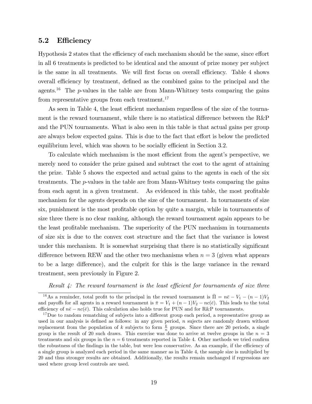## 5.2 Efficiency

Hypothesis 2 states that the efficiency of each mechanism should be the same, since effort in all 6 treatments is predicted to be identical and the amount of prize money per subject is the same in all treatments. We will first focus on overall efficiency. Table 4 shows overall efficiency by treatment, defined as the combined gains to the principal and the agents.<sup>16</sup> The  $p$ -values in the table are from Mann-Whitney tests comparing the gains from representative groups from each treatment.<sup>17</sup>

As seen in Table 4, the least efficient mechanism regardless of the size of the tournament is the reward tournament, while there is no statistical difference between the  $R\&P$ and the PUN tournaments. What is also seen in this table is that actual gains per group are always below expected gains. This is due to the fact that effort is below the predicted equilibrium level, which was shown to be socially efficient in Section 3.2.

To calculate which mechanism is the most efficient from the agent's perspective, we merely need to consider the prize gained and subtract the cost to the agent of attaining the prize. Table 5 shows the expected and actual gains to the agents in each of the six treatments. The p-values in the table are from Mann-Whitney tests comparing the gains from each agent in a given treatment. As evidenced in this table, the most profitable mechanism for the agents depends on the size of the tournament. In tournaments of size six, punishment is the most profitable option by quite a margin, while in tournaments of size three there is no clear ranking, although the reward tournament again appears to be the least profitable mechanism. The superiority of the PUN mechanism in tournaments of size six is due to the convex cost structure and the fact that the variance is lowest under this mechanism. It is somewhat surprising that there is no statistically significant difference between REW and the other two mechanisms when  $n = 3$  (given what appears to be a large difference), and the culprit for this is the large variance in the reward treatment, seen previously in Figure 2.

Result  $\ddot{A}$ : The reward tournament is the least efficient for tournaments of size three

<sup>&</sup>lt;sup>16</sup>As a reminder, total profit to the principal in the reward tournament is  $\overline{\Pi} = n\overline{e} - V_1 - (n-1)V_2$ and payoffs for all agents in a reward tournament is  $\bar{\pi} = V_1 + (n-1)V_2 - nc(\bar{e})$ . This leads to the total efficiency of  $n\bar{e} - nc(\bar{e})$ . This calculation also holds true for PUN and for R&P tournaments.

<sup>&</sup>lt;sup>17</sup>Due to random rematching of subjects into a different group each period, a representative group as used in our analysis is defined as follows: in any given period,  $n$  sujects are randomly drawn without replacement from the population of k subjects to form  $\frac{k}{n}$  groups. Since there are 20 periods, a single group is the result of 20 such draws. This exercise was done to arrive at twelve groups in the  $n = 3$ treatments and six groups in the  $n = 6$  treatments reported in Table 4. Other methods we tried confirm the robustness of the findings in the table, but were less conservative. As an example, if the efficiency of a single group is analyzed each period in the same manner as in Table 4, the sample size is multiplied by 20 and thus stronger results are obtained. Additionally, the results remain unchanged if regressions are used where group level controls are used.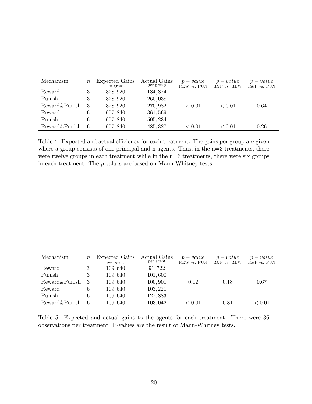| Mechanism     | $\, n$ | Expected Gains<br>per group | Actual Gains<br>per group | $p-value$<br>REW vs. PUN | $p-value$<br>R&P vs. REW | $p-value$<br>R&P vs. PUN |
|---------------|--------|-----------------------------|---------------------------|--------------------------|--------------------------|--------------------------|
| Reward        | 3      | 328, 920                    | 184, 874                  |                          |                          |                          |
| Punish        | 3      | 328, 920                    | 260,038                   |                          |                          |                          |
| Reward&Punish | 3      | 328, 920                    | 270, 982                  | ${}< 0.01$               | < 0.01                   | 0.64                     |
| Reward        | 6      | 657,840                     | 361, 569                  |                          |                          |                          |
| Punish        | 6      | 657,840                     | 505, 234                  |                          |                          |                          |
| Reward&Punish | 6      | 657,840                     | 485, 327                  | < 0.01                   | < 0.01                   | 0.26                     |

Table 4: Expected and actual efficiency for each treatment. The gains per group are given where a group consists of one principal and n agents. Thus, in the  $n=3$  treatments, there were twelve groups in each treatment while in the  $n=6$  treatments, there were six groups in each treatment. The p-values are based on Mann-Whitney tests.

| Mechanism     | $\boldsymbol{n}$ | Expected Gains<br>per agent | Actual Gains<br>per agent | $p-value$<br>REW vs. PUN | $p-value$<br>R&P vs. REW | $p-value$<br>R&P vs. PUN |
|---------------|------------------|-----------------------------|---------------------------|--------------------------|--------------------------|--------------------------|
| Reward        |                  | 109,640                     | 91,722                    |                          |                          |                          |
| Punish        | 3                | 109,640                     | 101,600                   |                          |                          |                          |
| Reward&Punish | 3                | 109,640                     | 100,901                   | 0.12                     | 0.18                     | 0.67                     |
| Reward        | 6                | 109,640                     | 103, 221                  |                          |                          |                          |
| Punish        | 6                | 109,640                     | 127,883                   |                          |                          |                          |
| Reward&Punish | 6                | 109,640                     | 103,042                   | < 0.01                   | 0.81                     | ${}< 0.01$               |

Table 5: Expected and actual gains to the agents for each treatment. There were 36 observations per treatment. P-values are the result of Mann-Whitney tests.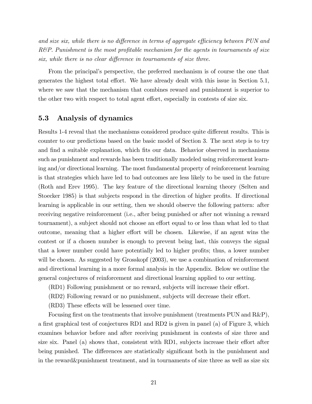and size six, while there is no difference in terms of aggregate efficiency between  $PUN$  and  $R\&P$ . Punishment is the most profitable mechanism for the agents in tournaments of size six, while there is no clear difference in tournaments of size three.

From the principal's perspective, the preferred mechanism is of course the one that generates the highest total effort. We have already dealt with this issue in Section 5.1, where we saw that the mechanism that combines reward and punishment is superior to the other two with respect to total agent effort, especially in contests of size six.

## 5.3 Analysis of dynamics

Results 1-4 reveal that the mechanisms considered produce quite different results. This is counter to our predictions based on the basic model of Section 3. The next step is to try and find a suitable explanation, which fits our data. Behavior observed in mechanisms such as punishment and rewards has been traditionally modeled using reinforcement learning and/or directional learning. The most fundamental property of reinforcement learning is that strategies which have led to bad outcomes are less likely to be used in the future (Roth and Erev 1995). The key feature of the directional learning theory (Selten and Stoecker 1985) is that subjects respond in the direction of higher profits. If directional learning is applicable in our setting, then we should observe the following pattern: after receiving negative reinforcement (i.e., after being punished or after not winning a reward tournament), a subject should not choose an effort equal to or less than what led to that outcome, meaning that a higher effort will be chosen. Likewise, if an agent wins the contest or if a chosen number is enough to prevent being last, this conveys the signal that a lower number could have potentially led to higher profits; thus, a lower number will be chosen. As suggested by Grosskopf  $(2003)$ , we use a combination of reinforcement and directional learning in a more formal analysis in the Appendix. Below we outline the general conjectures of reinforcement and directional learning applied to our setting.

- (RD1) Following punishment or no reward, subjects will increase their effort.
- (RD2) Following reward or no punishment, subjects will decrease their effort.
- $(RD3)$  These effects will be lessened over time.

Focusing first on the treatments that involve punishment (treatments PUN and  $R\&P$ ), a first graphical test of conjectures RD1 and RD2 is given in panel (a) of Figure 3, which examines behavior before and after receiving punishment in contests of size three and size six. Panel (a) shows that, consistent with RD1, subjects increase their effort after being punished. The differences are statistically significant both in the punishment and in the reward&punishment treatment, and in tournaments of size three as well as size six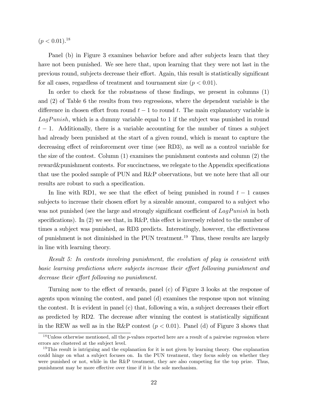$(p < 0.01).^{18}$ 

Panel (b) in Figure 3 examines behavior before and after subjects learn that they have not been punished. We see here that, upon learning that they were not last in the previous round, subjects decrease their effort. Again, this result is statistically significant for all cases, regardless of treatment and tournament size  $(p < 0.01)$ .

In order to check for the robustness of these findings, we present in columns  $(1)$ and (2) of Table 6 the results from two regressions, where the dependent variable is the difference in chosen effort from round  $t - 1$  to round t. The main explanatory variable is  $LagPunish$ , which is a dummy variable equal to 1 if the subject was punished in round  $t-1$ . Additionally, there is a variable accounting for the number of times a subject had already been punished at the start of a given round, which is meant to capture the decreasing effect of reinforcement over time (see RD3), as well as a control variable for the size of the contest. Column (1) examines the punishment contests and column (2) the reward&punishment contests. For succinctness, we relegate to the Appendix specifications that use the pooled sample of PUN and R&P observations, but we note here that all our results are robust to such a specification.

In line with RD1, we see that the effect of being punished in round  $t - 1$  causes subjects to increase their chosen effort by a sizeable amount, compared to a subject who was not punished (see the large and strongly significant coefficient of  $LagPunish$  in both specifications). In  $(2)$  we see that, in R&P, this effect is inversely related to the number of times a subject was punished, as RD3 predicts. Interestingly, however, the effectiveness of punishment is not diminished in the PUN treatment.<sup>19</sup> Thus, these results are largely in line with learning theory.

Result 5: In contests involving punishment, the evolution of play is consistent with basic learning predictions where subjects increase their effort following punishment and decrease their effort following no punishment.

Turning now to the effect of rewards, panel  $(c)$  of Figure 3 looks at the response of agents upon winning the contest, and panel (d) examines the response upon not winning the contest. It is evident in panel (c) that, following a win, a subject decreases their effort as predicted by RD2. The decrease after winning the contest is statistically significant in the REW as well as in the R&P contest  $(p < 0.01)$ . Panel (d) of Figure 3 shows that

<sup>&</sup>lt;sup>18</sup>Unless otherwise mentioned, all the p-values reported here are a result of a pairwise regression where errors are clustered at the subject level.

<sup>&</sup>lt;sup>19</sup>This result is intriguing and the explanation for it is not given by learning theory. One explanation could hinge on what a subject focuses on. In the PUN treatment, they focus solely on whether they were punished or not, while in the R&P treatment, they are also competing for the top prize. Thus, punishment may be more effective over time if it is the sole mechanism.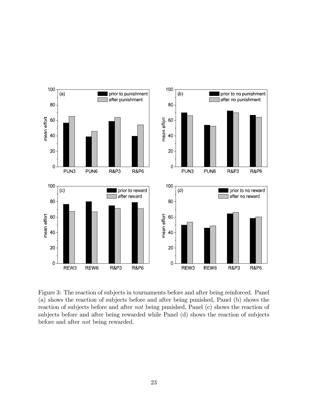

Figure 3: The reaction of subjects in tournaments before and after being reinforced. Panel (a) shows the reaction of subjects before and after being punished, Panel (b) shows the reaction of subjects before and after not being punished, Panel (c) shows the reaction of subjects before and after being rewarded while Panel (d) shows the reaction of subjects before and after not being rewarded.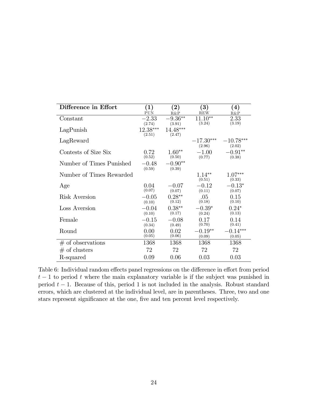| Difference in Effort     | $\bf(1)$ | $\bf (2)$  | $\bf{3)}$   | $\left( 4\right)$ |
|--------------------------|----------|------------|-------------|-------------------|
|                          | PUN      | R&P        | <b>REW</b>  | R&P               |
| Constant                 | $-2.33$  | $-9.36***$ | $11.10**$   | 2.33              |
|                          | (2.74)   | (3.91)     | (3.24)      | (3.19)            |
| LagPunish                | 12.38*** | 14.48***   |             |                   |
|                          | (2.51)   | (2.47)     |             |                   |
| LagReward                |          |            | $-17.30***$ | $-10.78***$       |
|                          |          |            | (2.96)      | (2.02)            |
| Contests of Size Six     | 0.72     | $1.60**$   | $-1.00$     | $-0.91**$         |
|                          | (0.52)   | (0.50)     | (0.77)      | (0.38)            |
| Number of Times Punished | $-0.48$  | $-0.90**$  |             |                   |
|                          | (0.59)   | (0.39)     |             |                   |
| Number of Times Rewarded |          |            | $1.14**$    | $1.07***$         |
|                          |          |            | (0.51)      | (0.33)            |
| Age                      | 0.04     | $-0.07$    | $-0.12$     | $-0.13*$          |
|                          | (0.07)   | (0.07)     | (0.11)      | (0.07)            |
| Risk Aversion            | $-0.05$  | $0.28**$   | .05         | 0.15              |
|                          | (0.10)   | (0.12)     | (0.18)      | (0.10)            |
| Loss Aversion            | $-0.04$  | $0.38**$   | $-0.39*$    | $0.24*$           |
|                          | (0.10)   | (0.17)     | (0.24)      | (0.13)            |
| Female                   | $-0.15$  | $-0.08$    | 0.17        | 0.14              |
|                          | (0.34)   | (0.49)     | (0.70)      | (0.41)            |
| Round                    | 0.00     | 0.02       | $-0.19**$   | $0.14***$         |
|                          | (0.05)   | (0.06)     | (0.09)      | (0.05)            |
| $#$ of observations      | 1368     | 1368       | 1368        | 1368              |
|                          |          |            |             |                   |
| $#$ of clusters          | 72       | 72         | 72          | 72                |
| R-squared                | 0.09     | 0.06       | 0.03        | 0.03              |

Table 6: Individual random effects panel regressions on the difference in effort from period  $t-1$  to period t where the main explanatory variable is if the subject was punished in period  $t - 1$ . Because of this, period 1 is not included in the analysis. Robust standard errors, which are clustered at the individual level, are in parentheses. Three, two and one stars represent significance at the one, five and ten percent level respectively.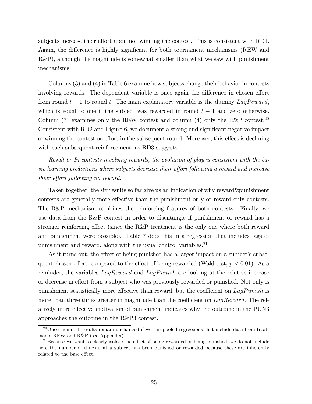subjects increase their effort upon not winning the contest. This is consistent with RD1. Again, the difference is highly significant for both tournament mechanisms (REW and R&P), although the magnitude is somewhat smaller than what we saw with punishment mechanisms.

Columns (3) and (4) in Table 6 examine how subjects change their behavior in contests involving rewards. The dependent variable is once again the difference in chosen effort from round  $t-1$  to round t. The main explanatory variable is the dummy LagReward, which is equal to one if the subject was rewarded in round  $t-1$  and zero otherwise. Column (3) examines only the REW contest and column (4) only the R&P contest.<sup>20</sup> Consistent with RD2 and Figure 6, we document a strong and significant negative impact of winning the contest on effort in the subsequent round. Moreover, this effect is declining with each subsequent reinforcement, as RD3 suggests.

Result 6: In contests involving rewards, the evolution of play is consistent with the basic learning predictions where subjects decrease their effort following a reward and increase their effort following no reward.

Taken together, the six results so far give us an indication of why reward&punishment contests are generally more effective than the punishment-only or reward-only contests. The R&P mechanism combines the reinforcing features of both contests. Finally, we use data from the R&P contest in order to disentangle if punishment or reward has a stronger reinforcing effect (since the R&P treatment is the only one where both reward and punishment were possible). Table 7 does this in a regression that includes lags of punishment and reward, along with the usual control variables.<sup>21</sup>

As it turns out, the effect of being punished has a larger impact on a subject's subsequent chosen effort, compared to the effect of being rewarded (Wald test;  $p < 0.01$ ). As a reminder, the variables  $LagReward$  and  $LagPunish$  are looking at the relative increase or decrease in effort from a subject who was previously rewarded or punished. Not only is punishment statistically more effective than reward, but the coefficient on  $LagPunish$  is more than three times greater in magnitude than the coefficient on  $LagReward$ . The relatively more effective motivation of punishment indicates why the outcome in the PUN3 approaches the outcome in the R&P3 contest.

 $^{20}$ Once again, all results remain unchanged if we run pooled regressions that include data from treatments REW and R&P (see Appendix).

<sup>&</sup>lt;sup>21</sup> Because we want to clearly isolate the effect of being rewarded or being punished, we do not include here the number of times that a subject has been punished or rewarded because these are inherently related to the base effect.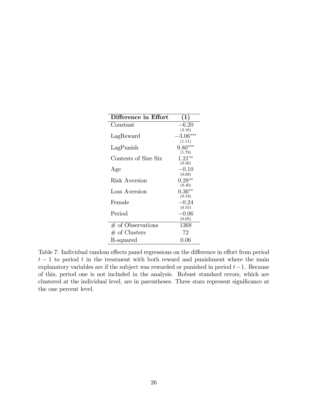| Difference in Effort | (1)                            |
|----------------------|--------------------------------|
| Constant             | $-6.20$                        |
| LagReward            | (3.16)<br>$-3.06***$<br>(1.11) |
| LagPunish            | $9.80***$<br>(1.78)            |
| Contests of Size Six | $1.21**$<br>(0.56)             |
| Age                  | $-0.10$<br>(0.09)              |
| Risk Aversion        | $0.28**$                       |
| Loss Aversion        | (0.40)<br>$0.36**$<br>(0.19)   |
| Female               | $-0.24$                        |
| Period               | (0.55)<br>$-0.06$<br>(0.05)    |
| $#$ of Observations  | 1368                           |
| $#$ of Clusters      | 72                             |
| R-squared            | $0.06\,$                       |

Table 7: Individual random effects panel regressions on the difference in effort from period  $t-1$  to period t in the treatment with both reward and punishment where the main explanatory variables are if the subject was rewarded or punished in period  $t-1$ . Because of this, period one is not included in the analysis. Robust standard errors, which are clustered at the individual level, are in parentheses. Three stars represent significance at the one percent level.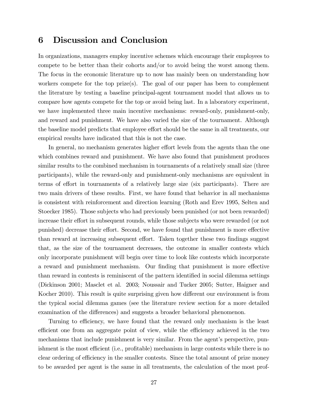## 6 Discussion and Conclusion

In organizations, managers employ incentive schemes which encourage their employees to compete to be better than their cohorts and/or to avoid being the worst among them. The focus in the economic literature up to now has mainly been on understanding how workers compete for the top prize(s). The goal of our paper has been to complement the literature by testing a baseline principal-agent tournament model that allows us to compare how agents compete for the top or avoid being last. In a laboratory experiment, we have implemented three main incentive mechanisms: reward-only, punishment-only, and reward and punishment. We have also varied the size of the tournament. Although the baseline model predicts that employee effort should be the same in all treatments, our empirical results have indicated that this is not the case.

In general, no mechanism generates higher effort levels from the agents than the one which combines reward and punishment. We have also found that punishment produces similar results to the combined mechanism in tournaments of a relatively small size (three participants), while the reward-only and punishment-only mechanisms are equivalent in terms of effort in tournaments of a relatively large size (six participants). There are two main drivers of these results. First, we have found that behavior in all mechanisms is consistent with reinforcement and direction learning (Roth and Erev 1995, Selten and Stoecker 1985). Those subjects who had previously been punished (or not been rewarded) increase their effort in subsequent rounds, while those subjects who were rewarded (or not punished) decrease their effort. Second, we have found that punishment is more effective than reward at increasing subsequent effort. Taken together these two findings suggest that, as the size of the tournament decreases, the outcome in smaller contests which only incorporate punishment will begin over time to look like contests which incorporate a reward and punishment mechanism. Our finding that punishment is more effective than reward in contests is reminiscent of the pattern identified in social dilemma settings (Dickinson 2001; Masclet et al. 2003; Noussair and Tucker 2005; Sutter, Haigner and Kocher 2010). This result is quite surprising given how different our environment is from the typical social dilemma games (see the literature review section for a more detailed examination of the differences) and suggests a broader behavioral phenomenon.

Turning to efficiency, we have found that the reward only mechanism is the least efficient one from an aggregate point of view, while the efficiency achieved in the two mechanisms that include punishment is very similar. From the agent's perspective, punishment is the most efficient (i.e., profitable) mechanism in large contests while there is no clear ordering of efficiency in the smaller contests. Since the total amount of prize money to be awarded per agent is the same in all treatments, the calculation of the most prof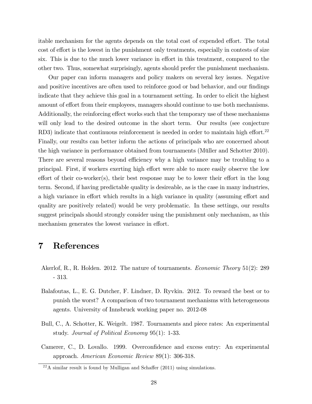itable mechanism for the agents depends on the total cost of expended effort. The total cost of effort is the lowest in the punishment only treatments, especially in contests of size six. This is due to the much lower variance in effort in this treatment, compared to the other two. Thus, somewhat surprisingly, agents should prefer the punishment mechanism.

Our paper can inform managers and policy makers on several key issues. Negative and positive incentives are often used to reinforce good or bad behavior, and our findings indicate that they achieve this goal in a tournament setting. In order to elicit the highest amount of effort from their employees, managers should continue to use both mechanisms. Additionally, the reinforcing effect works such that the temporary use of these mechanisms will only lead to the desired outcome in the short term. Our results (see conjecture RD3) indicate that continuous reinforcement is needed in order to maintain high effort.<sup>22</sup> Finally, our results can better inform the actions of principals who are concerned about the high variance in performance obtained from tournaments (Müller and Schotter 2010). There are several reasons beyond efficiency why a high variance may be troubling to a principal. First, if workers exerting high effort were able to more easily observe the low effort of their co-worker(s), their best response may be to lower their effort in the long term. Second, if having predictable quality is desireable, as is the case in many industries, a high variance in effort which results in a high variance in quality (assuming effort and quality are positively related) would be very problematic. In these settings, our results suggest principals should strongly consider using the punishment only mechanism, as this mechanism generates the lowest variance in effort.

# 7 References

- Akerlof, R., R. Holden. 2012. The nature of tournaments. *Economic Theory* 51(2): 289 - 313.
- Balafoutas, L., E. G. Dutcher, F. Lindner, D. Ryvkin. 2012. To reward the best or to punish the worst? A comparison of two tournament mechanisms with heterogeneous agents. University of Innsbruck working paper no. 2012-08
- Bull, C., A. Schotter, K. Weigelt. 1987. Tournaments and piece rates: An experimental study. Journal of Political Economy 95(1): 1-33.
- Camerer, C., D. Lovallo. 1999. Overconfidence and excess entry: An experimental approach. American Economic Review 89(1): 306-318.

 $^{22}$ A similar result is found by Mulligan and Schaffer (2011) using simulations.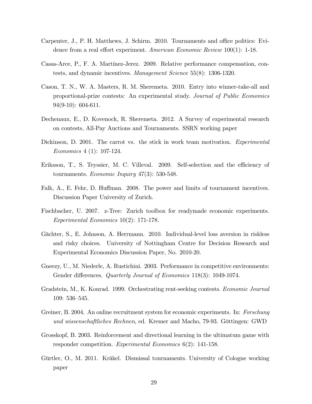- Carpenter, J., P. H. Matthews, J. Schirm. 2010. Tournaments and office politics: Evidence from a real effort experiment. American Economic Review  $100(1)$ : 1-18.
- Casas-Arce, P., F. A. Martínez-Jerez. 2009. Relative performance compensation, contests, and dynamic incentives. Management Science 55(8): 1306-1320.
- Cason, T. N., W. A. Masters, R. M. Sheremeta. 2010. Entry into winner-take-all and proportional-prize contests: An experimental study. Journal of Public Economics 94(9-10): 604-611.
- Dechenaux, E., D. Kovenock, R. Sheremeta. 2012. A Survey of experimental research on contests, All-Pay Auctions and Tournaments. SSRN working paper
- Dickinson, D. 2001. The carrot vs. the stick in work team motivation. Experimental Economics 4 (1): 107-124.
- Eriksson, T., S. Teyssier, M. C. Villeval. 2009. Self-selection and the efficiency of tournaments. Economic Inquiry 47(3): 530-548.
- Falk, A., E. Fehr, D. Huffman. 2008. The power and limits of tournament incentives. Discussion Paper University of Zurich.
- Fischbacher, U. 2007. z-Tree: Zurich toolbox for readymade economic experiments. Experimental Economics 10(2): 171-178.
- Gächter, S., E. Johnson, A. Herrmann. 2010. Individual-level loss aversion in riskless and risky choices. University of Nottingham Centre for Decision Research and Experimental Economics Discussion Paper, No. 2010-20.
- Gneezy, U., M. Niederle, A. Rustichini. 2003. Performance in competitive environments: Gender differences. Quarterly Journal of Economics 118(3): 1049-1074.
- Gradstein, M., K. Konrad. 1999. Orchestrating rent-seeking contests. Economic Journal  $109: 536 - 545.$
- Greiner, B. 2004. An online recruitment system for economic experiments. In: Forschung und wissenschaftliches Rechnen, ed. Kremer and Macho, 79-93. Göttingen: GWD
- Grosskopf, B. 2003. Reinforcement and directional learning in the ultimatum game with responder competition. Experimental Economics 6(2): 141-158.
- Gürtler, O., M. 2011. Kräkel. Dismissal tournaments. University of Cologne working paper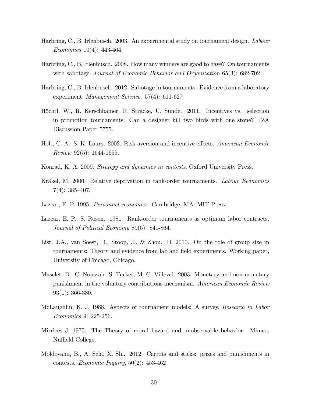- Harbring, C., B. Irlenbusch. 2003. An experimental study on tournament design. Labour Economics 10(4): 443-464.
- Harbring, C., B. Irlenbusch. 2008. How many winners are good to have? On tournaments with sabotage. Journal of Economic Behavior and Organization 65(3): 682-702
- Harbring, C., B. Irlenbusch. 2012. Sabotage in tournaments: Evidence from a laboratory experiment. Management Science. 57(4): 611-627
- Höchtl, W., R. Kerschbamer, R. Stracke, U. Sunde. 2011. Incentives vs. selection in promotion tournaments: Can a designer kill two birds with one stone? IZA Discussion Paper 5755.
- Holt, C. A., S. K. Laury. 2002. Risk aversion and incentive effects. American Economic Review 92(5): 1644-1655.
- Konrad, K. A. 2009. Strategy and dynamics in contests, Oxford University Press.
- Kräkel, M. 2000. Relative deprivation in rank-order tournaments. Labour Economics  $7(4): 385 - 407.$
- Lazear, E. P. 1995. Personnel economics. Cambridge, MA: MIT Press.
- Lazear, E. P., S. Rosen. 1981. Rank-order tournaments as optimum labor contracts. Journal of Political Economy 89(5): 841-864.
- List, J.A., van Soest, D., Stoop, J., & Zhou. H. 2010. On the role of group size in tournaments: Theory and evidence from lab and field experiments. Working paper, University of Chicago, Chicago.
- Masclet, D., C. Noussair, S. Tucker, M. C. Villeval. 2003. Monetary and non-monetary punishment in the voluntary contributions mechanism. American Economic Review 93(1): 366-380.
- McLaughlin, K. J. 1988. Aspects of tournament models: A survey. Research in Labor Economics 9: 225-256.
- Mirrlees J. 1975. The Theory of moral hazard and unobservable behavior. Mimeo, Nuffield College.
- Moldovanu, B., A. Sela, X. Shi. 2012. Carrots and sticks: prizes and punishments in contests. Economic Inquiry, 50(2): 453-462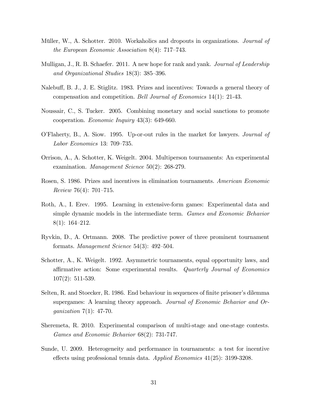- Müller, W., A. Schotter. 2010. Workaholics and dropouts in organizations. *Journal of* the European Economic Association 8(4):  $717-743$ .
- Mulligan, J., R. B. Schaefer. 2011. A new hope for rank and yank. Journal of Leadership and Organizational Studies  $18(3)$ :  $385-396$ .
- Nalebuff, B. J., J. E. Stiglitz. 1983. Prizes and incentives: Towards a general theory of compensation and competition. Bell Journal of Economics 14(1): 21-43.
- Noussair, C., S. Tucker. 2005. Combining monetary and social sanctions to promote cooperation. Economic Inquiry 43(3): 649-660.
- OíFlaherty, B., A. Siow. 1995. Up-or-out rules in the market for lawyers. Journal of Labor Economics 13:  $709-735$ .
- Orrison, A., A. Schotter, K. Weigelt. 2004. Multiperson tournaments: An experimental examination. Management Science 50(2): 268-279.
- Rosen, S. 1986. Prizes and incentives in elimination tournaments. American Economic Review 76(4): 701-715.
- Roth, A., I. Erev. 1995. Learning in extensive-form games: Experimental data and simple dynamic models in the intermediate term. Games and Economic Behavior  $8(1): 164-212.$
- Ryvkin, D., A. Ortmann. 2008. The predictive power of three prominent tournament formats. Management Science  $54(3)$ :  $492-504$ .
- Schotter, A., K. Weigelt. 1992. Asymmetric tournaments, equal opportunity laws, and affirmative action: Some experimental results. Quarterly Journal of Economics 107(2): 511-539.
- Selten, R. and Stoecker, R. 1986. End behaviour in sequences of finite prisoner's dilemma supergames: A learning theory approach. Journal of Economic Behavior and Organization 7(1): 47-70.
- Sheremeta, R. 2010. Experimental comparison of multi-stage and one-stage contests. Games and Economic Behavior 68(2): 731-747.
- Sunde, U. 2009. Heterogeneity and performance in tournaments: a test for incentive effects using professional tennis data. Applied Economics  $41(25)$ : 3199-3208.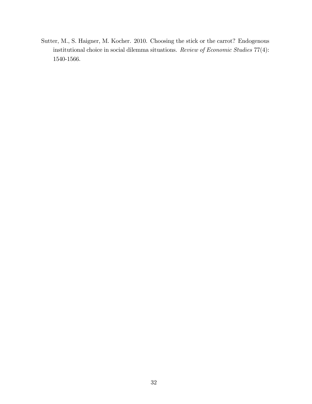Sutter, M., S. Haigner, M. Kocher. 2010. Choosing the stick or the carrot? Endogenous institutional choice in social dilemma situations. Review of Economic Studies 77(4): 1540-1566.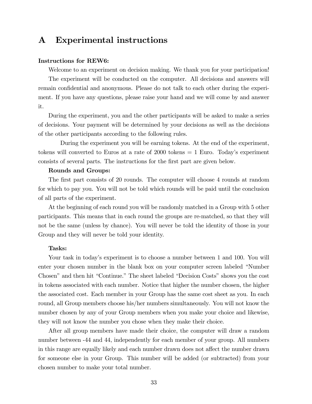# A Experimental instructions

#### Instructions for REW6:

Welcome to an experiment on decision making. We thank you for your participation! The experiment will be conducted on the computer. All decisions and answers will remain confidential and anonymous. Please do not talk to each other during the experiment. If you have any questions, please raise your hand and we will come by and answer it.

During the experiment, you and the other participants will be asked to make a series of decisions. Your payment will be determined by your decisions as well as the decisions of the other participants according to the following rules.

During the experiment you will be earning tokens. At the end of the experiment, tokens will converted to Euros at a rate of  $2000$  tokens  $= 1$  Euro. Today's experiment consists of several parts. The instructions for the Örst part are given below.

#### Rounds and Groups:

The first part consists of 20 rounds. The computer will choose 4 rounds at random for which to pay you. You will not be told which rounds will be paid until the conclusion of all parts of the experiment.

At the beginning of each round you will be randomly matched in a Group with 5 other participants. This means that in each round the groups are re-matched, so that they will not be the same (unless by chance). You will never be told the identity of those in your Group and they will never be told your identity.

#### Tasks:

Your task in today's experiment is to choose a number between 1 and 100. You will enter your chosen number in the blank box on your computer screen labeled "Number" Chosen" and then hit "Continue." The sheet labeled "Decision Costs" shows you the cost in tokens associated with each number. Notice that higher the number chosen, the higher the associated cost. Each member in your Group has the same cost sheet as you. In each round, all Group members choose his/her numbers simultaneously. You will not know the number chosen by any of your Group members when you make your choice and likewise, they will not know the number you chose when they make their choice.

After all group members have made their choice, the computer will draw a random number between -44 and 44, independently for each member of your group. All numbers in this range are equally likely and each number drawn does not affect the number drawn for someone else in your Group. This number will be added (or subtracted) from your chosen number to make your total number.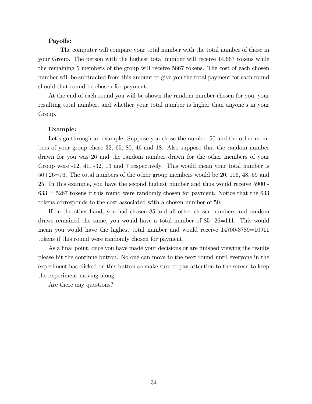#### Payoffs:

The computer will compare your total number with the total number of those in your Group. The person with the highest total number will receive 14,667 tokens while the remaining 5 members of the group will receive 5867 tokens. The cost of each chosen number will be subtracted from this amount to give you the total payment for each round should that round be chosen for payment.

At the end of each round you will be shown the random number chosen for you, your resulting total number, and whether your total number is higher than anyone's in your Group.

#### Example:

Let's go through an example. Suppose you chose the number 50 and the other members of your group chose 32, 65, 80, 46 and 18. Also suppose that the random number drawn for you was 26 and the random number drawn for the other members of your Group were -12, 41, -32, 13 and 7 respectively. This would mean your total number is 50+26=76. The total numbers of the other group members would be 20, 106, 48, 59 and 25. In this example, you have the second highest number and thus would receive 5900 -  $633 = 5267$  tokens if this round were randomly chosen for payment. Notice that the 633 tokens corresponds to the cost associated with a chosen number of 50.

If on the other hand, you had chosen 85 and all other chosen numbers and random draws remained the same, you would have a total number of 85+26=111. This would mean you would have the highest total number and would receive 14700-3789=10911 tokens if this round were randomly chosen for payment.

As a final point, once you have made your decisions or are finished viewing the results please hit the continue button. No one can move to the next round until everyone in the experiment has clicked on this button so make sure to pay attention to the screen to keep the experiment moving along.

Are there any questions?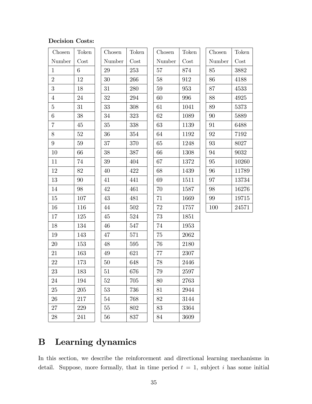## Decision Costs:

| Chosen          | Token  | Chosen | Token | Chosen | Token | Chosen | Token |
|-----------------|--------|--------|-------|--------|-------|--------|-------|
| Number          | Cost   | Number | Cost  | Number | Cost  | Number | Cost  |
| $\mathbf{1}$    | 6      | 29     | 253   | 57     | 874   | 85     | 3882  |
| $\overline{2}$  | 12     | 30     | 266   | 58     | 912   | 86     | 4188  |
| 3               | 18     | 31     | 280   | 59     | 953   | 87     | 4533  |
| $\overline{4}$  | 24     | 32     | 294   | 60     | 996   | 88     | 4925  |
| $\overline{5}$  | 31     | 33     | 308   | 61     | 1041  | 89     | 5373  |
| 6               | 38     | 34     | 323   | 62     | 1089  | 90     | 5889  |
| $\overline{7}$  | 45     | $35\,$ | 338   | 63     | 1139  | 91     | 6488  |
| 8               | 52     | 36     | 354   | 64     | 1192  | 92     | 7192  |
| $9\phantom{.0}$ | $59\,$ | 37     | 370   | 65     | 1248  | 93     | 8027  |
| 10              | 66     | 38     | 387   | 66     | 1308  | 94     | 9032  |
| 11              | 74     | 39     | 404   | 67     | 1372  | 95     | 10260 |
| 12              | 82     | 40     | 422   | 68     | 1439  | 96     | 11789 |
| 13              | 90     | 41     | 441   | 69     | 1511  | 97     | 13734 |
| 14              | 98     | 42     | 461   | 70     | 1587  | 98     | 16276 |
| 15              | 107    | 43     | 481   | 71     | 1669  | 99     | 19715 |
| 16              | 116    | 44     | 502   | 72     | 1757  | 100    | 24571 |
| 17              | 125    | 45     | 524   | 73     | 1851  |        |       |
| 18              | 134    | 46     | 547   | 74     | 1953  |        |       |
| 19              | 143    | 47     | 571   | 75     | 2062  |        |       |
| 20              | 153    | 48     | 595   | 76     | 2180  |        |       |
| 21              | 163    | 49     | 621   | 77     | 2307  |        |       |
| 22              | 173    | 50     | 648   | 78     | 2446  |        |       |
| 23              | 183    | 51     | 676   | 79     | 2597  |        |       |
| 24              | 194    | 52     | 705   | 80     | 2763  |        |       |
| 25              | 205    | 53     | 736   | 81     | 2944  |        |       |
| 26              | 217    | 54     | 768   | 82     | 3144  |        |       |
| 27              | 229    | 55     | 802   | 83     | 3364  |        |       |
| $28\,$          | 241    | 56     | 837   | 84     | 3609  |        |       |

# B Learning dynamics

In this section, we describe the reinforcement and directional learning mechanisms in detail. Suppose, more formally, that in time period  $t = 1$ , subject i has some initial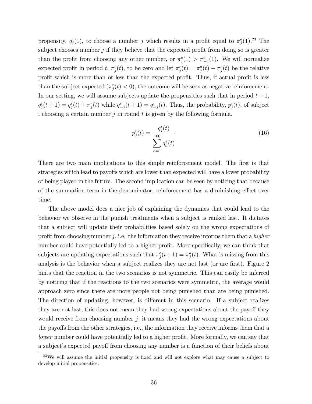propensity,  $q_j^i(1)$ , to choose a number j which results in a profit equal to  $\pi_j^a(1)$ .<sup>23</sup> The subject chooses number  $j$  if they believe that the expected profit from doing so is greater than the profit from choosing any other number, or  $\pi_j^e(1) > \pi_{-j}^e(1)$ . We will normalize expected profit in period t,  $\pi_j^e(t)$ , to be zero and let  $\pi_j^r(t) = \pi_j^a(t) - \pi_j^e(t)$  be the relative profit which is more than or less than the expected profit. Thus, if actual profit is less than the subject expected  $(\pi_j^r(t) < 0)$ , the outcome will be seen as negative reinforcement. In our setting, we will assume subjects update the propensities such that in period  $t + 1$ ,  $q_j^i(t+1) = q_j^i(t) + \pi_j^r(t)$  while  $q_{-j}^i(t+1) = q_{-j}^i(t)$ . Thus, the probability,  $p_j^i(t)$ , of subject i choosing a certain number  $j$  in round  $t$  is given by the following formula.

$$
p_j^i(t) = \frac{q_j^i(t)}{\sum_{h=1}^{100} q_h^i(t)}
$$
\n(16)

There are two main implications to this simple reinforcement model. The first is that strategies which lead to payoffs which are lower than expected will have a lower probability of being played in the future. The second implication can be seen by noticing that because of the summation term in the denominator, reinforcement has a diminishing effect over time.

The above model does a nice job of explaining the dynamics that could lead to the behavior we observe in the punish treatments when a subject is ranked last. It dictates that a subject will update their probabilities based solely on the wrong expectations of profit from choosing number  $j$ , i.e. the information they receive informs them that a *higher* number could have potentially led to a higher profit. More specifically, we can think that subjects are updating expectations such that  $\pi_j^e(t+1) = \pi_j^a(t)$ . What is missing from this analysis is the behavior when a subject realizes they are not last (or are first). Figure 2 hints that the reaction in the two scenarios is not symmetric. This can easily be inferred by noticing that if the reactions to the two scenarios were symmetric, the average would approach zero since there are more people not being punished than are being punished. The direction of updating, however, is different in this scenario. If a subject realizes they are not last, this does not mean they had wrong expectations about the payoff they would receive from choosing number  $j$ ; it means they had the wrong expectations about the payoffs from the other strategies, i.e., the information they receive informs them that a lower number could have potentially led to a higher profit. More formally, we can say that a subject's expected payoff from choosing any number is a function of their beliefs about

 $^{23}$ We will assume the initial propensity is fixed and will not explore what may cause a subject to develop initial propensities.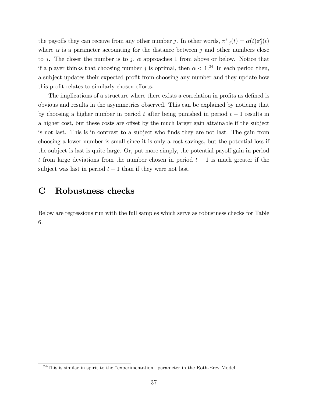the payoffs they can receive from any other number j. In other words,  $\pi_{-j}^e(t) = \alpha(t)\pi_j^e(t)$ where  $\alpha$  is a parameter accounting for the distance between j and other numbers close to j. The closer the number is to j,  $\alpha$  approaches 1 from above or below. Notice that if a player thinks that choosing number j is optimal, then  $\alpha < 1.^{24}$  In each period then, a subject updates their expected profit from choosing any number and they update how this profit relates to similarly chosen efforts.

The implications of a structure where there exists a correlation in profits as defined is obvious and results in the asymmetries observed. This can be explained by noticing that by choosing a higher number in period t after being punished in period  $t-1$  results in a higher cost, but these costs are offset by the much larger gain attainable if the subject is not last. This is in contrast to a subject who finds they are not last. The gain from choosing a lower number is small since it is only a cost savings, but the potential loss if the subject is last is quite large. Or, put more simply, the potential payoff gain in period t from large deviations from the number chosen in period  $t-1$  is much greater if the subject was last in period  $t-1$  than if they were not last.

## C Robustness checks

Below are regressions run with the full samples which serve as robustness checks for Table 6.

 $^{24}$ This is similar in spirit to the "experimentation" parameter in the Roth-Erev Model.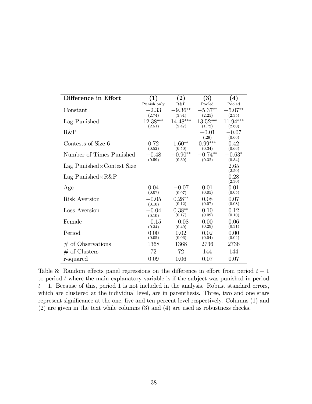| Difference in Effort               | $\left( 1\right)$  | $\bf(2)$           | $\left( 3\right)$    | $\left( 4\right)$    |
|------------------------------------|--------------------|--------------------|----------------------|----------------------|
|                                    | Punish only        | R&P                | Pooled               | Pooled               |
| Constant                           | $-2.33$            | $9.36**$           | $-5.37**$            | $-5.07**$            |
|                                    | (2.74)             | (3.91)             | (2.25)               | (2.35)               |
| Lag Punished                       | 12.38***<br>(2.51) | 14.48***<br>(2.47) | $13.52***$<br>(1.72) | $11.94***$<br>(2.60) |
| R&P                                |                    |                    | $-0.01$              | $-0.07$              |
|                                    |                    |                    | (.29)                | (0.66)               |
| Contests of Size 6                 | 0.72               | $1.60**$           | $0.99***$            | 0.42                 |
|                                    | (0.52)             | (0.50)             | (0.34)               | (0.66)               |
| Number of Times Punished           | $-0.48$            | $-0.90**$          | $-0.74**$            | $-0.63*$             |
|                                    | (0.59)             | (0.39)             | (0.32)               | (0.34)               |
| Lag Punished $\times$ Contest Size |                    |                    |                      | 2.65                 |
|                                    |                    |                    |                      | (2.50)               |
| Lag Punished $\times R\&P$         |                    |                    |                      | 0.28                 |
|                                    |                    |                    |                      | (2.30)               |
| Age                                | 0.04<br>(0.07)     | $-0.07$<br>(0.07)  | 0.01<br>(0.05)       | 0.01<br>(0.05)       |
| Risk Aversion                      | $-0.05$            | $0.28**$           |                      | 0.07                 |
|                                    | (0.10)             | (0.12)             | 0.08<br>(0.07)       | (0.08)               |
| Loss Aversion                      | $-0.04$            | $0.38**$           | 0.10                 | 0.12                 |
|                                    | (0.10)             | (0.17)             | (0.09)               | (0.10)               |
| Female                             | $-0.15$            | $-0.08$            | 0.00                 | 0.06                 |
|                                    | (0.34)             | (0.49)             | (0.29)               | (0.31)               |
| Period                             | 0.00               | 0.02               | 0.02                 | 0.00                 |
|                                    | (0.05)             | (0.06)             | (0.04)               | (0.04)               |
| $#$ of Observations                | 1368               | 1368               | 2736                 | 2736                 |
| $#$ of Clusters                    | 72                 | 72                 | 144                  | 144                  |
| r-squared                          | 0.09               | 0.06               | 0.07                 | 0.07                 |

Table 8: Random effects panel regressions on the difference in effort from period  $t - 1$ to period  $t$  where the main explanatory variable is if the subject was punished in period  $t-1$ . Because of this, period 1 is not included in the analysis. Robust standard errors, which are clustered at the individual level, are in parenthesis. Three, two and one stars represent significance at the one, five and ten percent level respectively. Columns (1) and (2) are given in the text while columns (3) and (4) are used as robustness checks.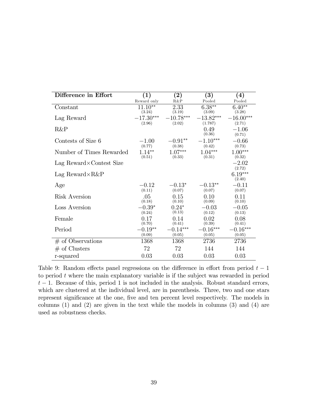| Difference in Effort     | (1)         | $\left( 2\right)$ | (3)            | $\left( 4\right)$   |
|--------------------------|-------------|-------------------|----------------|---------------------|
|                          | Reward only | $R\&P$            | Pooled         | Pooled              |
| Constant                 | $11.10**$   | 2.33              | $6.38**$       | $6.40**$            |
|                          | (3.24)      | (3.19)            | (3.09)         | (3.28)              |
| Lag Reward               | $-17.30***$ | $-10.78***$       | $-13.82***$    | $-16.00***$         |
|                          | (2.96)      | (2.02)            | (1.787)        | (2.71)              |
| R&P                      |             |                   | 0.49<br>(0.36) | $-1.06$<br>(0.71)   |
| Contests of Size 6       | $-1.00$     | $-0.91**$         | $-1.10***$     | $-0.66$             |
|                          | (0.77)      | (0.38)            | (0.42)         | (0.73)              |
| Number of Times Rewarded | $1.14***$   | $1.07***$         | $1.04***$      | $1.00***$           |
|                          | (0.51)      | (0.33)            | (0.31)         | (0.32)              |
| Lag Reward×Contest Size  |             |                   |                | $-2.02$<br>(2.72)   |
| Lag Reward $\times R\&P$ |             |                   |                | $6.19***$<br>(2.40) |
| Age                      | $-0.12$     | $-0.13*$          | $-0.13**$      | $-0.11$             |
|                          | (0.11)      | (0.07)            | (0.07)         | (0.07)              |
| Risk Aversion            | .05         | 0.15              | 0.10           | 0.11                |
|                          | (0.18)      | (0.10)            | (0.09)         | (0.10)              |
| Loss Aversion            | $-0.39*$    | $0.24*$           | $-0.03$        | $-0.05$             |
|                          | (0.24)      | (0.13)            | (0.12)         | (0.13)              |
| Female                   | 0.17        | 0.14              | 0.02           | 0.08                |
|                          | (0.70)      | (0.41)            | (0.39)         | (0.41)              |
| Period                   | $-0.19**$   | $-0.14***$        | $-0.16***$     | $0.16***$           |
|                          | (0.09)      | (0.05)            | (0.05)         | (0.05)              |
| $#$ of Observations      | 1368        | 1368              | 2736           | 2736                |
| $#$ of Clusters          | 72          | 72                | 144            | 144                 |
| r-squared                | 0.03        | 0.03              | 0.03           | 0.03                |

Table 9: Random effects panel regressions on the difference in effort from period  $t - 1$ to period  $t$  where the main explanatory variable is if the subject was rewarded in period  $t-1$ . Because of this, period 1 is not included in the analysis. Robust standard errors, which are clustered at the individual level, are in parenthesis. Three, two and one stars represent significance at the one, five and ten percent level respectively. The models in columns (1) and (2) are given in the text while the models in columns (3) and (4) are used as robustness checks.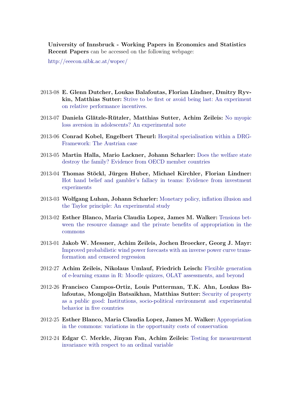University of Innsbruck - Working Papers in Economics and Statistics Recent Papers can be accessed on the following webpage:

<http://eeecon.uibk.ac.at/wopec/>

- 2013-08 E. Glenn Dutcher, Loukas Balafoutas, Florian Lindner, Dmitry Ryvkin, Matthias Sutter: [Strive to be first or avoid being last: An experiment](http://EconPapers.RePEc.org/RePEc:inn:wpaper:2013-08) [on relative performance incentives.](http://EconPapers.RePEc.org/RePEc:inn:wpaper:2013-08)
- 2013-07 Daniela Glätzle-Rützler, Matthias Sutter, Achim Zeileis: [No myopic](http://EconPapers.RePEc.org/RePEc:inn:wpaper:2013-07) [loss aversion in adolescents? An experimental note](http://EconPapers.RePEc.org/RePEc:inn:wpaper:2013-07)
- 2013-06 Conrad Kobel, Engelbert Theurl: [Hospital specialisation within a DRG-](http://EconPapers.RePEc.org/RePEc:inn:wpaper:2013-06)[Framework: The Austrian case](http://EconPapers.RePEc.org/RePEc:inn:wpaper:2013-06)
- 2013-05 Martin Halla, Mario Lackner, Johann Scharler: [Does the welfare state](http://EconPapers.RePEc.org/RePEc:inn:wpaper:2013-05) [destroy the family? Evidence from OECD member countries](http://EconPapers.RePEc.org/RePEc:inn:wpaper:2013-05)
- 2013-04 Thomas Stöckl, Jürgen Huber, Michael Kirchler, Florian Lindner: [Hot hand belief and gambler's fallacy in teams: Evidence from investment](http://EconPapers.RePEc.org/RePEc:inn:wpaper:2013-04) [experiments](http://EconPapers.RePEc.org/RePEc:inn:wpaper:2013-04)
- 2013-03 Wolfgang Luhan, Johann Scharler: [Monetary policy, inflation illusion and](http://EconPapers.RePEc.org/RePEc:inn:wpaper:2013-03) [the Taylor principle: An experimental study](http://EconPapers.RePEc.org/RePEc:inn:wpaper:2013-03)
- 2013-02 Esther Blanco, Maria Claudia Lopez, James M. Walker: [Tensions bet](http://EconPapers.RePEc.org/RePEc:inn:wpaper:2013-02)[ween the resource damage and the private benefits of appropriation in the](http://EconPapers.RePEc.org/RePEc:inn:wpaper:2013-02) [commons](http://EconPapers.RePEc.org/RePEc:inn:wpaper:2013-02)
- 2013-01 Jakob W. Messner, Achim Zeileis, Jochen Broecker, Georg J. Mayr: [Improved probabilistic wind power forecasts with an inverse power curve trans](http://EconPapers.RePEc.org/RePEc:inn:wpaper:2013-01)[formation and censored regression](http://EconPapers.RePEc.org/RePEc:inn:wpaper:2013-01)
- 2012-27 Achim Zeileis, Nikolaus Umlauf, Friedrich Leisch: [Flexible generation](http://EconPapers.RePEc.org/RePEc:inn:wpaper:2012-27) [of e-learning exams in R: Moodle quizzes, OLAT assessments, and beyond](http://EconPapers.RePEc.org/RePEc:inn:wpaper:2012-27)
- 2012-26 Francisco Campos-Ortiz, Louis Putterman, T.K. Ahn, Loukas Balafoutas, Mongoljin Batsaikhan, Matthias Sutter: [Security of property](http://EconPapers.RePEc.org/RePEc:inn:wpaper:2012-26) [as a public good: Institutions, socio-political environment and experimental](http://EconPapers.RePEc.org/RePEc:inn:wpaper:2012-26) [behavior in five countries](http://EconPapers.RePEc.org/RePEc:inn:wpaper:2012-26)
- 2012-25 Esther Blanco, Maria Claudia Lopez, James M. Walker: [Appropriation](http://EconPapers.RePEc.org/RePEc:inn:wpaper:2012-25) [in the commons: variations in the opportunity costs of conservation](http://EconPapers.RePEc.org/RePEc:inn:wpaper:2012-25)
- 2012-24 Edgar C. Merkle, Jinyan Fan, Achim Zeileis: [Testing for measurement](http://EconPapers.RePEc.org/RePEc:inn:wpaper:2012-24) [invariance with respect to an ordinal variable](http://EconPapers.RePEc.org/RePEc:inn:wpaper:2012-24)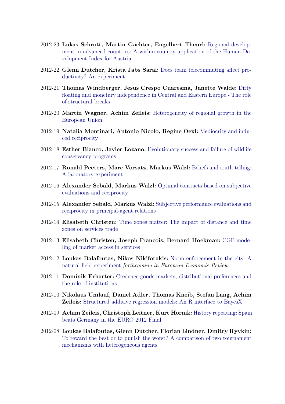- 2012-23 Lukas Schrott, Martin Gächter, Engelbert Theurl: [Regional develop](http://EconPapers.RePEc.org/RePEc:inn:wpaper:2012-23)[ment in advanced countries: A within-country application of the Human De](http://EconPapers.RePEc.org/RePEc:inn:wpaper:2012-23)[velopment Index for Austria](http://EconPapers.RePEc.org/RePEc:inn:wpaper:2012-23)
- 2012-22 Glenn Dutcher, Krista Jabs Saral: [Does team telecommuting affect pro](http://EconPapers.RePEc.org/RePEc:inn:wpaper:2012-22)[ductivity? An experiment](http://EconPapers.RePEc.org/RePEc:inn:wpaper:2012-22)
- 2012-21 Thomas Windberger, Jesus Crespo Cuaresma, Janette Walde: [Dirty](http://EconPapers.RePEc.org/RePEc:inn:wpaper:2012-21) [floating and monetary independence in Central and Eastern Europe - The role](http://EconPapers.RePEc.org/RePEc:inn:wpaper:2012-21) [of structural breaks](http://EconPapers.RePEc.org/RePEc:inn:wpaper:2012-21)
- 2012-20 Martin Wagner, Achim Zeileis: [Heterogeneity of regional growth in the](http://EconPapers.RePEc.org/RePEc:inn:wpaper:2012-20) [European Union](http://EconPapers.RePEc.org/RePEc:inn:wpaper:2012-20)
- 2012-19 Natalia Montinari, Antonio Nicolo, Regine Oexl: [Mediocrity and indu](http://EconPapers.RePEc.org/RePEc:inn:wpaper:2012-19)[ced reciprocity](http://EconPapers.RePEc.org/RePEc:inn:wpaper:2012-19)
- 2012-18 Esther Blanco, Javier Lozano: [Evolutionary success and failure of wildlife](http://EconPapers.RePEc.org/RePEc:inn:wpaper:2012-18) [conservancy programs](http://EconPapers.RePEc.org/RePEc:inn:wpaper:2012-18)
- 2012-17 Ronald Peeters, Marc Vorsatz, Markus Walzl: [Beliefs and truth-telling:](http://EconPapers.RePEc.org/RePEc:inn:wpaper:2012-17) [A laboratory experiment](http://EconPapers.RePEc.org/RePEc:inn:wpaper:2012-17)
- 2012-16 Alexander Sebald, Markus Walzl: [Optimal contracts based on subjective](http://EconPapers.RePEc.org/RePEc:inn:wpaper:2012-16) [evaluations and reciprocity](http://EconPapers.RePEc.org/RePEc:inn:wpaper:2012-16)
- 2012-15 Alexander Sebald, Markus Walzl: [Subjective performance evaluations and](http://EconPapers.RePEc.org/RePEc:inn:wpaper:2012-15) [reciprocity in principal-agent relations](http://EconPapers.RePEc.org/RePEc:inn:wpaper:2012-15)
- 2012-14 Elisabeth Christen: [Time zones matter: The impact of distance and time](http://EconPapers.RePEc.org/RePEc:inn:wpaper:2012-14) [zones on services trade](http://EconPapers.RePEc.org/RePEc:inn:wpaper:2012-14)
- 2012-13 Elisabeth Christen, Joseph Francois, Bernard Hoekman: [CGE mode](http://EconPapers.RePEc.org/RePEc:inn:wpaper:2012-13)[ling of market access in services](http://EconPapers.RePEc.org/RePEc:inn:wpaper:2012-13)
- 2012-12 Loukas Balafoutas, Nikos Nikiforakis: [Norm enforcement in the city: A](http://EconPapers.RePEc.org/RePEc:inn:wpaper:2012-12) [natural field experiment](http://EconPapers.RePEc.org/RePEc:inn:wpaper:2012-12) forthcoming in European Economic Review
- 2012-11 Dominik Erharter: [Credence goods markets, distributional preferences and](http://EconPapers.RePEc.org/RePEc:inn:wpaper:2012-11) [the role of institutions](http://EconPapers.RePEc.org/RePEc:inn:wpaper:2012-11)
- 2012-10 Nikolaus Umlauf, Daniel Adler, Thomas Kneib, Stefan Lang, Achim Zeileis: [Structured additive regression models: An R interface to BayesX](http://EconPapers.RePEc.org/RePEc:inn:wpaper:2012-10)
- 2012-09 Achim Zeileis, Christoph Leitner, Kurt Hornik: [History repeating: Spain](http://EconPapers.RePEc.org/RePEc:inn:wpaper:2012-09) [beats Germany in the EURO 2012 Final](http://EconPapers.RePEc.org/RePEc:inn:wpaper:2012-09)
- 2012-08 Loukas Balafoutas, Glenn Dutcher, Florian Lindner, Dmitry Ryvkin: [To reward the best or to punish the worst? A comparison of two tournament](http://EconPapers.RePEc.org/RePEc:inn:wpaper:2012-08) [mechanisms with heterogeneous agents](http://EconPapers.RePEc.org/RePEc:inn:wpaper:2012-08)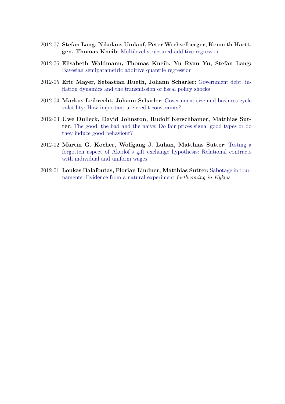- 2012-07 Stefan Lang, Nikolaus Umlauf, Peter Wechselberger, Kenneth Harttgen, Thomas Kneib: [Multilevel structured additive regression](http://EconPapers.RePEc.org/RePEc:inn:wpaper:2012-07)
- 2012-06 Elisabeth Waldmann, Thomas Kneib, Yu Ryan Yu, Stefan Lang: [Bayesian semiparametric additive quantile regression](http://EconPapers.RePEc.org/RePEc:inn:wpaper:2012-06)
- 2012-05 Eric Mayer, Sebastian Rueth, Johann Scharler: [Government debt, in](http://EconPapers.RePEc.org/RePEc:inn:wpaper:2012-05)[flation dynamics and the transmission of fiscal policy shocks](http://EconPapers.RePEc.org/RePEc:inn:wpaper:2012-05)
- 2012-04 Markus Leibrecht, Johann Scharler: [Government size and business cycle](http://EconPapers.RePEc.org/RePEc:inn:wpaper:2012-04) [volatility; How important are credit constraints?](http://EconPapers.RePEc.org/RePEc:inn:wpaper:2012-04)
- 2012-03 Uwe Dulleck, David Johnston, Rudolf Kerschbamer, Matthias Sutter: [The good, the bad and the naive: Do fair prices signal good types or do](http://EconPapers.RePEc.org/RePEc:inn:wpaper:2012-03) [they induce good behaviour?](http://EconPapers.RePEc.org/RePEc:inn:wpaper:2012-03)
- 2012-02 Martin G. Kocher, Wolfgang J. Luhan, Matthias Sutter: [Testing a](http://EconPapers.RePEc.org/RePEc:inn:wpaper:2012-02) [forgotten aspect of Akerlof's gift exchange hypothesis: Relational contracts](http://EconPapers.RePEc.org/RePEc:inn:wpaper:2012-02) [with individual and uniform wages](http://EconPapers.RePEc.org/RePEc:inn:wpaper:2012-02)
- 2012-01 Loukas Balafoutas, Florian Lindner, Matthias Sutter: [Sabotage in tour](http://EconPapers.RePEc.org/RePEc:inn:wpaper:2012-01)[naments: Evidence from a natural experiment](http://EconPapers.RePEc.org/RePEc:inn:wpaper:2012-01) forthcoming in Kyklos